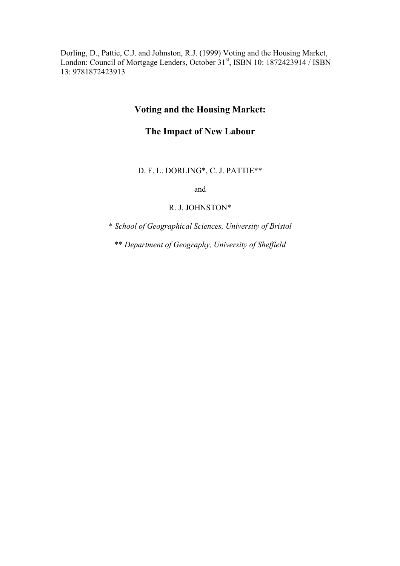Dorling, D., Pattie, C.J. and Johnston, R.J. (1999) Voting and the Housing Market, London: Council of Mortgage Lenders, October 31<sup>st</sup>, ISBN 10: 1872423914 / ISBN 13: 9781872423913

# **Voting and the Housing Market:**

# **The Impact of New Labour**

# D. F. L. DORLING\*, C. J. PATTIE\*\*

and

#### R. J. JOHNSTON\*

\* *School of Geographical Sciences, University of Bristol*

\*\* *Department of Geography, University of Sheffield*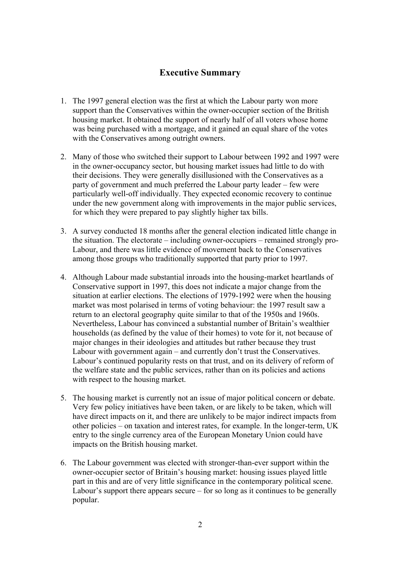# **Executive Summary**

- 1. The 1997 general election was the first at which the Labour party won more support than the Conservatives within the owner-occupier section of the British housing market. It obtained the support of nearly half of all voters whose home was being purchased with a mortgage, and it gained an equal share of the votes with the Conservatives among outright owners.
- 2. Many of those who switched their support to Labour between 1992 and 1997 were in the owner-occupancy sector, but housing market issues had little to do with their decisions. They were generally disillusioned with the Conservatives as a party of government and much preferred the Labour party leader – few were particularly well-off individually. They expected economic recovery to continue under the new government along with improvements in the major public services, for which they were prepared to pay slightly higher tax bills.
- 3. A survey conducted 18 months after the general election indicated little change in the situation. The electorate – including owner-occupiers – remained strongly pro-Labour, and there was little evidence of movement back to the Conservatives among those groups who traditionally supported that party prior to 1997.
- 4. Although Labour made substantial inroads into the housing-market heartlands of Conservative support in 1997, this does not indicate a major change from the situation at earlier elections. The elections of 1979-1992 were when the housing market was most polarised in terms of voting behaviour: the 1997 result saw a return to an electoral geography quite similar to that of the 1950s and 1960s. Nevertheless, Labour has convinced a substantial number of Britain's wealthier households (as defined by the value of their homes) to vote for it, not because of major changes in their ideologies and attitudes but rather because they trust Labour with government again – and currently don't trust the Conservatives. Labour's continued popularity rests on that trust, and on its delivery of reform of the welfare state and the public services, rather than on its policies and actions with respect to the housing market.
- 5. The housing market is currently not an issue of major political concern or debate. Very few policy initiatives have been taken, or are likely to be taken, which will have direct impacts on it, and there are unlikely to be major indirect impacts from other policies – on taxation and interest rates, for example. In the longer-term, UK entry to the single currency area of the European Monetary Union could have impacts on the British housing market.
- 6. The Labour government was elected with stronger-than-ever support within the owner-occupier sector of Britain's housing market: housing issues played little part in this and are of very little significance in the contemporary political scene. Labour's support there appears secure  $-$  for so long as it continues to be generally popular.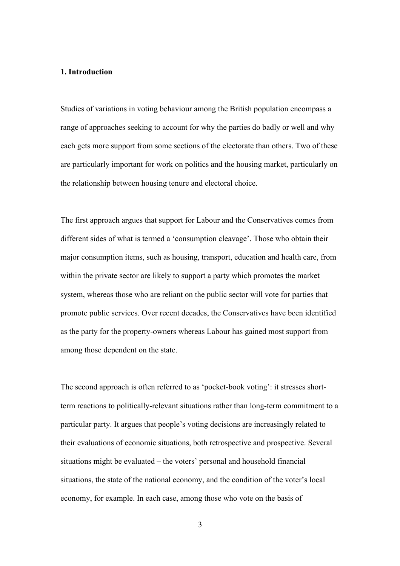# **1. Introduction**

Studies of variations in voting behaviour among the British population encompass a range of approaches seeking to account for why the parties do badly or well and why each gets more support from some sections of the electorate than others. Two of these are particularly important for work on politics and the housing market, particularly on the relationship between housing tenure and electoral choice.

The first approach argues that support for Labour and the Conservatives comes from different sides of what is termed a 'consumption cleavage'. Those who obtain their major consumption items, such as housing, transport, education and health care, from within the private sector are likely to support a party which promotes the market system, whereas those who are reliant on the public sector will vote for parties that promote public services. Over recent decades, the Conservatives have been identified as the party for the property-owners whereas Labour has gained most support from among those dependent on the state.

The second approach is often referred to as 'pocket-book voting': it stresses shortterm reactions to politically-relevant situations rather than long-term commitment to a particular party. It argues that people's voting decisions are increasingly related to their evaluations of economic situations, both retrospective and prospective. Several situations might be evaluated – the voters' personal and household financial situations, the state of the national economy, and the condition of the voter's local economy, for example. In each case, among those who vote on the basis of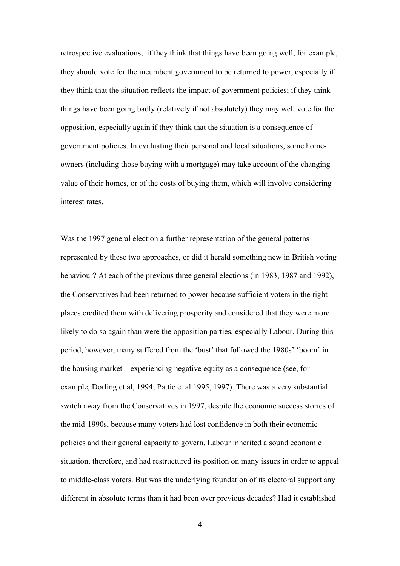retrospective evaluations, if they think that things have been going well, for example, they should vote for the incumbent government to be returned to power, especially if they think that the situation reflects the impact of government policies; if they think things have been going badly (relatively if not absolutely) they may well vote for the opposition, especially again if they think that the situation is a consequence of government policies. In evaluating their personal and local situations, some homeowners (including those buying with a mortgage) may take account of the changing value of their homes, or of the costs of buying them, which will involve considering interest rates.

Was the 1997 general election a further representation of the general patterns represented by these two approaches, or did it herald something new in British voting behaviour? At each of the previous three general elections (in 1983, 1987 and 1992), the Conservatives had been returned to power because sufficient voters in the right places credited them with delivering prosperity and considered that they were more likely to do so again than were the opposition parties, especially Labour. During this period, however, many suffered from the 'bust' that followed the 1980s' 'boom' in the housing market – experiencing negative equity as a consequence (see, for example, Dorling et al, 1994; Pattie et al 1995, 1997). There was a very substantial switch away from the Conservatives in 1997, despite the economic success stories of the mid-1990s, because many voters had lost confidence in both their economic policies and their general capacity to govern. Labour inherited a sound economic situation, therefore, and had restructured its position on many issues in order to appeal to middle-class voters. But was the underlying foundation of its electoral support any different in absolute terms than it had been over previous decades? Had it established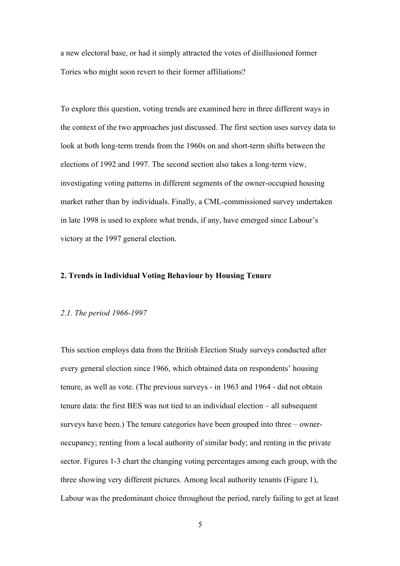a new electoral base, or had it simply attracted the votes of disillusioned former Tories who might soon revert to their former affiliations?

To explore this question, voting trends are examined here in three different ways in the context of the two approaches just discussed. The first section uses survey data to look at both long-term trends from the 1960s on and short-term shifts between the elections of 1992 and 1997. The second section also takes a long-term view, investigating voting patterns in different segments of the owner-occupied housing market rather than by individuals. Finally, a CML-commissioned survey undertaken in late 1998 is used to explore what trends, if any, have emerged since Labour's victory at the 1997 general election.

# **2. Trends in Individual Voting Behaviour by Housing Tenure**

# *2.1. The period 1966-1997*

This section employs data from the British Election Study surveys conducted after every general election since 1966, which obtained data on respondents' housing tenure, as well as vote. (The previous surveys - in 1963 and 1964 - did not obtain tenure data: the first BES was not tied to an individual election – all subsequent surveys have been.) The tenure categories have been grouped into three – owneroccupancy; renting from a local authority of similar body; and renting in the private sector. Figures 1-3 chart the changing voting percentages among each group, with the three showing very different pictures. Among local authority tenants (Figure 1), Labour was the predominant choice throughout the period, rarely failing to get at least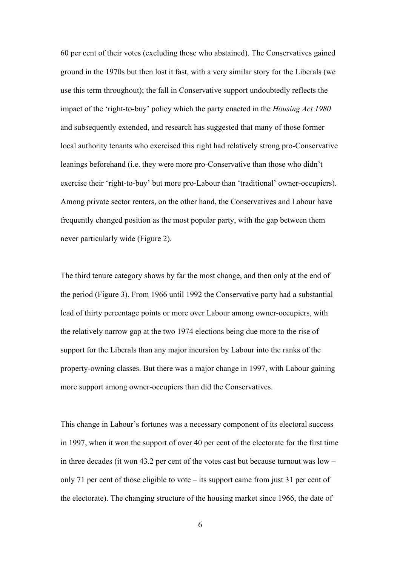60 per cent of their votes (excluding those who abstained). The Conservatives gained ground in the 1970s but then lost it fast, with a very similar story for the Liberals (we use this term throughout); the fall in Conservative support undoubtedly reflects the impact of the 'right-to-buy' policy which the party enacted in the *Housing Act 1980* and subsequently extended, and research has suggested that many of those former local authority tenants who exercised this right had relatively strong pro-Conservative leanings beforehand (i.e. they were more pro-Conservative than those who didn't exercise their 'right-to-buy' but more pro-Labour than 'traditional' owner-occupiers). Among private sector renters, on the other hand, the Conservatives and Labour have frequently changed position as the most popular party, with the gap between them never particularly wide (Figure 2).

The third tenure category shows by far the most change, and then only at the end of the period (Figure 3). From 1966 until 1992 the Conservative party had a substantial lead of thirty percentage points or more over Labour among owner-occupiers, with the relatively narrow gap at the two 1974 elections being due more to the rise of support for the Liberals than any major incursion by Labour into the ranks of the property-owning classes. But there was a major change in 1997, with Labour gaining more support among owner-occupiers than did the Conservatives.

This change in Labour's fortunes was a necessary component of its electoral success in 1997, when it won the support of over 40 per cent of the electorate for the first time in three decades (it won 43.2 per cent of the votes cast but because turnout was low – only 71 per cent of those eligible to vote – its support came from just 31 per cent of the electorate). The changing structure of the housing market since 1966, the date of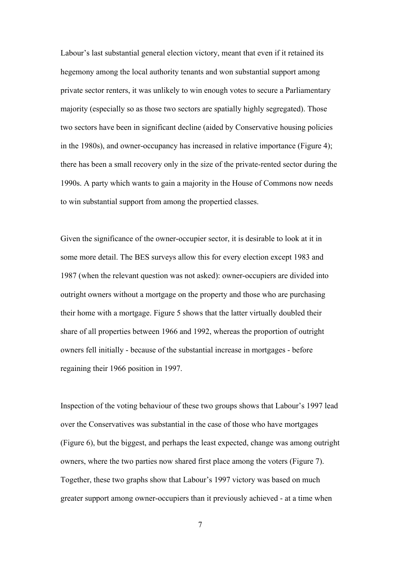Labour's last substantial general election victory, meant that even if it retained its hegemony among the local authority tenants and won substantial support among private sector renters, it was unlikely to win enough votes to secure a Parliamentary majority (especially so as those two sectors are spatially highly segregated). Those two sectors have been in significant decline (aided by Conservative housing policies in the 1980s), and owner-occupancy has increased in relative importance (Figure 4); there has been a small recovery only in the size of the private-rented sector during the 1990s. A party which wants to gain a majority in the House of Commons now needs to win substantial support from among the propertied classes.

Given the significance of the owner-occupier sector, it is desirable to look at it in some more detail. The BES surveys allow this for every election except 1983 and 1987 (when the relevant question was not asked): owner-occupiers are divided into outright owners without a mortgage on the property and those who are purchasing their home with a mortgage. Figure 5 shows that the latter virtually doubled their share of all properties between 1966 and 1992, whereas the proportion of outright owners fell initially - because of the substantial increase in mortgages - before regaining their 1966 position in 1997.

Inspection of the voting behaviour of these two groups shows that Labour's 1997 lead over the Conservatives was substantial in the case of those who have mortgages (Figure 6), but the biggest, and perhaps the least expected, change was among outright owners, where the two parties now shared first place among the voters (Figure 7). Together, these two graphs show that Labour's 1997 victory was based on much greater support among owner-occupiers than it previously achieved - at a time when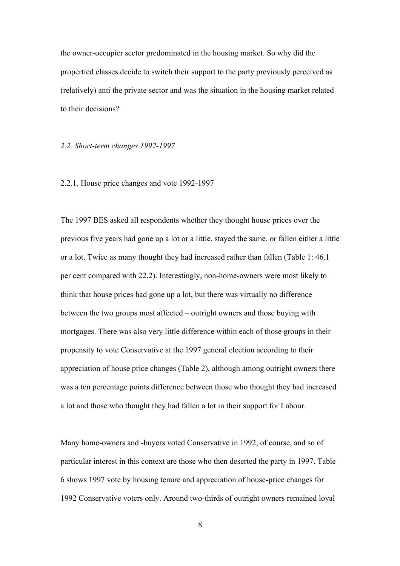the owner-occupier sector predominated in the housing market. So why did the propertied classes decide to switch their support to the party previously perceived as (relatively) anti the private sector and was the situation in the housing market related to their decisions?

### *2.2. Short-term changes 1992-1997*

#### 2.2.1. House price changes and vote 1992-1997

The 1997 BES asked all respondents whether they thought house prices over the previous five years had gone up a lot or a little, stayed the same, or fallen either a little or a lot. Twice as many thought they had increased rather than fallen (Table 1: 46.1 per cent compared with 22.2). Interestingly, non-home-owners were most likely to think that house prices had gone up a lot, but there was virtually no difference between the two groups most affected – outright owners and those buying with mortgages. There was also very little difference within each of those groups in their propensity to vote Conservative at the 1997 general election according to their appreciation of house price changes (Table 2), although among outright owners there was a ten percentage points difference between those who thought they had increased a lot and those who thought they had fallen a lot in their support for Labour.

Many home-owners and -buyers voted Conservative in 1992, of course, and so of particular interest in this context are those who then deserted the party in 1997. Table 6 shows 1997 vote by housing tenure and appreciation of house-price changes for 1992 Conservative voters only. Around two-thirds of outright owners remained loyal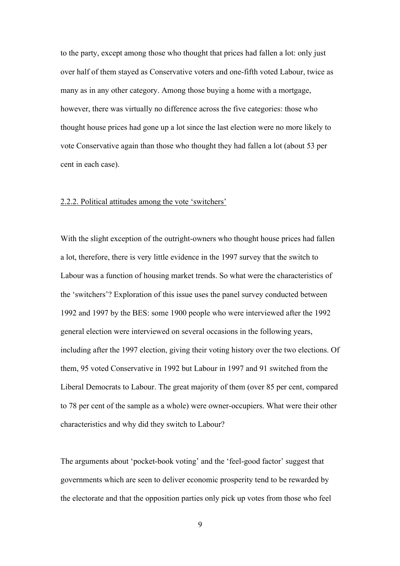to the party, except among those who thought that prices had fallen a lot: only just over half of them stayed as Conservative voters and one-fifth voted Labour, twice as many as in any other category. Among those buying a home with a mortgage, however, there was virtually no difference across the five categories: those who thought house prices had gone up a lot since the last election were no more likely to vote Conservative again than those who thought they had fallen a lot (about 53 per cent in each case).

#### 2.2.2. Political attitudes among the vote 'switchers'

With the slight exception of the outright-owners who thought house prices had fallen a lot, therefore, there is very little evidence in the 1997 survey that the switch to Labour was a function of housing market trends. So what were the characteristics of the 'switchers'? Exploration of this issue uses the panel survey conducted between 1992 and 1997 by the BES: some 1900 people who were interviewed after the 1992 general election were interviewed on several occasions in the following years, including after the 1997 election, giving their voting history over the two elections. Of them, 95 voted Conservative in 1992 but Labour in 1997 and 91 switched from the Liberal Democrats to Labour. The great majority of them (over 85 per cent, compared to 78 per cent of the sample as a whole) were owner-occupiers. What were their other characteristics and why did they switch to Labour?

The arguments about 'pocket-book voting' and the 'feel-good factor' suggest that governments which are seen to deliver economic prosperity tend to be rewarded by the electorate and that the opposition parties only pick up votes from those who feel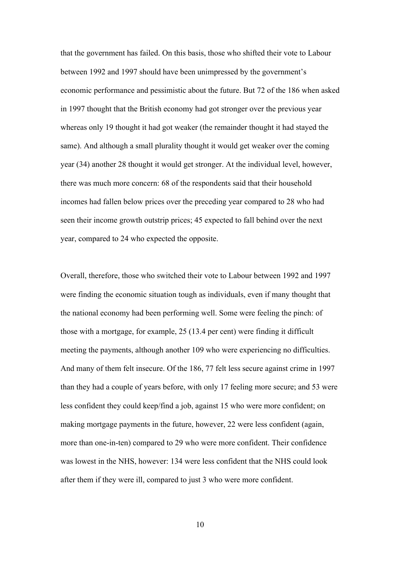that the government has failed. On this basis, those who shifted their vote to Labour between 1992 and 1997 should have been unimpressed by the government's economic performance and pessimistic about the future. But 72 of the 186 when asked in 1997 thought that the British economy had got stronger over the previous year whereas only 19 thought it had got weaker (the remainder thought it had stayed the same). And although a small plurality thought it would get weaker over the coming year (34) another 28 thought it would get stronger. At the individual level, however, there was much more concern: 68 of the respondents said that their household incomes had fallen below prices over the preceding year compared to 28 who had seen their income growth outstrip prices; 45 expected to fall behind over the next year, compared to 24 who expected the opposite.

Overall, therefore, those who switched their vote to Labour between 1992 and 1997 were finding the economic situation tough as individuals, even if many thought that the national economy had been performing well. Some were feeling the pinch: of those with a mortgage, for example, 25 (13.4 per cent) were finding it difficult meeting the payments, although another 109 who were experiencing no difficulties. And many of them felt insecure. Of the 186, 77 felt less secure against crime in 1997 than they had a couple of years before, with only 17 feeling more secure; and 53 were less confident they could keep/find a job, against 15 who were more confident; on making mortgage payments in the future, however, 22 were less confident (again, more than one-in-ten) compared to 29 who were more confident. Their confidence was lowest in the NHS, however: 134 were less confident that the NHS could look after them if they were ill, compared to just 3 who were more confident.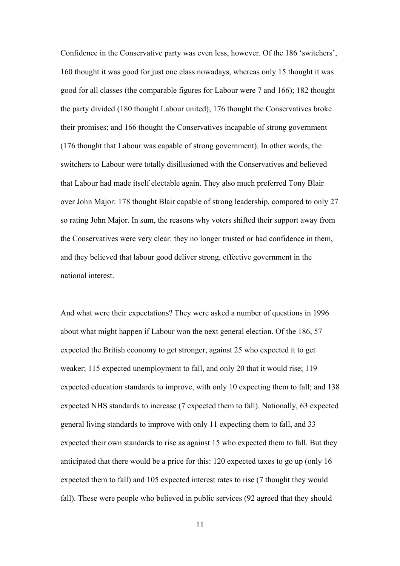Confidence in the Conservative party was even less, however. Of the 186 'switchers', 160 thought it was good for just one class nowadays, whereas only 15 thought it was good for all classes (the comparable figures for Labour were 7 and 166); 182 thought the party divided (180 thought Labour united); 176 thought the Conservatives broke their promises; and 166 thought the Conservatives incapable of strong government (176 thought that Labour was capable of strong government). In other words, the switchers to Labour were totally disillusioned with the Conservatives and believed that Labour had made itself electable again. They also much preferred Tony Blair over John Major: 178 thought Blair capable of strong leadership, compared to only 27 so rating John Major. In sum, the reasons why voters shifted their support away from the Conservatives were very clear: they no longer trusted or had confidence in them, and they believed that labour good deliver strong, effective government in the national interest.

And what were their expectations? They were asked a number of questions in 1996 about what might happen if Labour won the next general election. Of the 186, 57 expected the British economy to get stronger, against 25 who expected it to get weaker; 115 expected unemployment to fall, and only 20 that it would rise; 119 expected education standards to improve, with only 10 expecting them to fall; and 138 expected NHS standards to increase (7 expected them to fall). Nationally, 63 expected general living standards to improve with only 11 expecting them to fall, and 33 expected their own standards to rise as against 15 who expected them to fall. But they anticipated that there would be a price for this: 120 expected taxes to go up (only 16 expected them to fall) and 105 expected interest rates to rise (7 thought they would fall). These were people who believed in public services (92 agreed that they should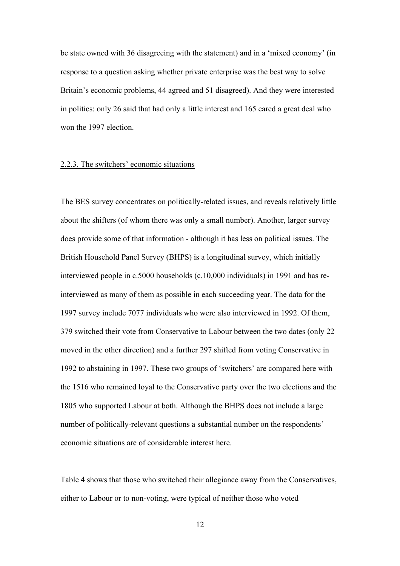be state owned with 36 disagreeing with the statement) and in a 'mixed economy' (in response to a question asking whether private enterprise was the best way to solve Britain's economic problems, 44 agreed and 51 disagreed). And they were interested in politics: only 26 said that had only a little interest and 165 cared a great deal who won the 1997 election.

#### 2.2.3. The switchers' economic situations

The BES survey concentrates on politically-related issues, and reveals relatively little about the shifters (of whom there was only a small number). Another, larger survey does provide some of that information - although it has less on political issues. The British Household Panel Survey (BHPS) is a longitudinal survey, which initially interviewed people in c.5000 households (c.10,000 individuals) in 1991 and has reinterviewed as many of them as possible in each succeeding year. The data for the 1997 survey include 7077 individuals who were also interviewed in 1992. Of them, 379 switched their vote from Conservative to Labour between the two dates (only 22 moved in the other direction) and a further 297 shifted from voting Conservative in 1992 to abstaining in 1997. These two groups of 'switchers' are compared here with the 1516 who remained loyal to the Conservative party over the two elections and the 1805 who supported Labour at both. Although the BHPS does not include a large number of politically-relevant questions a substantial number on the respondents' economic situations are of considerable interest here.

Table 4 shows that those who switched their allegiance away from the Conservatives, either to Labour or to non-voting, were typical of neither those who voted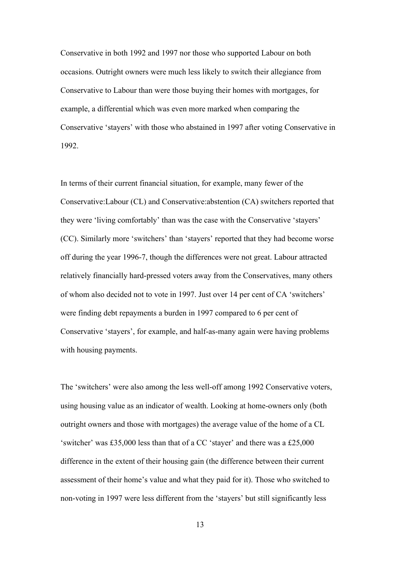Conservative in both 1992 and 1997 nor those who supported Labour on both occasions. Outright owners were much less likely to switch their allegiance from Conservative to Labour than were those buying their homes with mortgages, for example, a differential which was even more marked when comparing the Conservative 'stayers' with those who abstained in 1997 after voting Conservative in 1992.

In terms of their current financial situation, for example, many fewer of the Conservative:Labour (CL) and Conservative:abstention (CA) switchers reported that they were 'living comfortably' than was the case with the Conservative 'stayers' (CC). Similarly more 'switchers' than 'stayers' reported that they had become worse off during the year 1996-7, though the differences were not great. Labour attracted relatively financially hard-pressed voters away from the Conservatives, many others of whom also decided not to vote in 1997. Just over 14 per cent of CA 'switchers' were finding debt repayments a burden in 1997 compared to 6 per cent of Conservative 'stayers', for example, and half-as-many again were having problems with housing payments.

The 'switchers' were also among the less well-off among 1992 Conservative voters, using housing value as an indicator of wealth. Looking at home-owners only (both outright owners and those with mortgages) the average value of the home of a CL 'switcher' was £35,000 less than that of a CC 'stayer' and there was a £25,000 difference in the extent of their housing gain (the difference between their current assessment of their home's value and what they paid for it). Those who switched to non-voting in 1997 were less different from the 'stayers' but still significantly less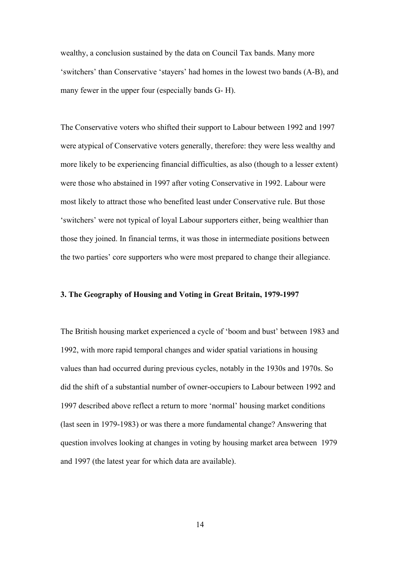wealthy, a conclusion sustained by the data on Council Tax bands. Many more 'switchers' than Conservative 'stayers' had homes in the lowest two bands (A-B), and many fewer in the upper four (especially bands G- H).

The Conservative voters who shifted their support to Labour between 1992 and 1997 were atypical of Conservative voters generally, therefore: they were less wealthy and more likely to be experiencing financial difficulties, as also (though to a lesser extent) were those who abstained in 1997 after voting Conservative in 1992. Labour were most likely to attract those who benefited least under Conservative rule. But those 'switchers' were not typical of loyal Labour supporters either, being wealthier than those they joined. In financial terms, it was those in intermediate positions between the two parties' core supporters who were most prepared to change their allegiance.

### **3. The Geography of Housing and Voting in Great Britain, 1979-1997**

The British housing market experienced a cycle of 'boom and bust' between 1983 and 1992, with more rapid temporal changes and wider spatial variations in housing values than had occurred during previous cycles, notably in the 1930s and 1970s. So did the shift of a substantial number of owner-occupiers to Labour between 1992 and 1997 described above reflect a return to more 'normal' housing market conditions (last seen in 1979-1983) or was there a more fundamental change? Answering that question involves looking at changes in voting by housing market area between 1979 and 1997 (the latest year for which data are available).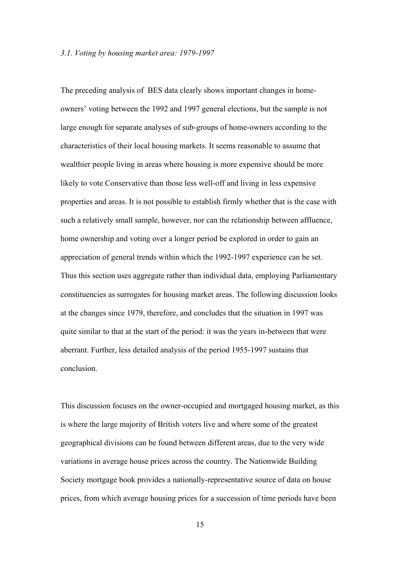#### *3.1. Voting by housing market area: 1979-1997*

The preceding analysis of BES data clearly shows important changes in homeowners' voting between the 1992 and 1997 general elections, but the sample is not large enough for separate analyses of sub-groups of home-owners according to the characteristics of their local housing markets. It seems reasonable to assume that wealthier people living in areas where housing is more expensive should be more likely to vote Conservative than those less well-off and living in less expensive properties and areas. It is not possible to establish firmly whether that is the case with such a relatively small sample, however, nor can the relationship between affluence, home ownership and voting over a longer period be explored in order to gain an appreciation of general trends within which the 1992-1997 experience can be set. Thus this section uses aggregate rather than individual data, employing Parliamentary constituencies as surrogates for housing market areas. The following discussion looks at the changes since 1979, therefore, and concludes that the situation in 1997 was quite similar to that at the start of the period: it was the years in-between that were aberrant. Further, less detailed analysis of the period 1955-1997 sustains that conclusion.

This discussion focuses on the owner-occupied and mortgaged housing market, as this is where the large majority of British voters live and where some of the greatest geographical divisions can be found between different areas, due to the very wide variations in average house prices across the country. The Nationwide Building Society mortgage book provides a nationally-representative source of data on house prices, from which average housing prices for a succession of time periods have been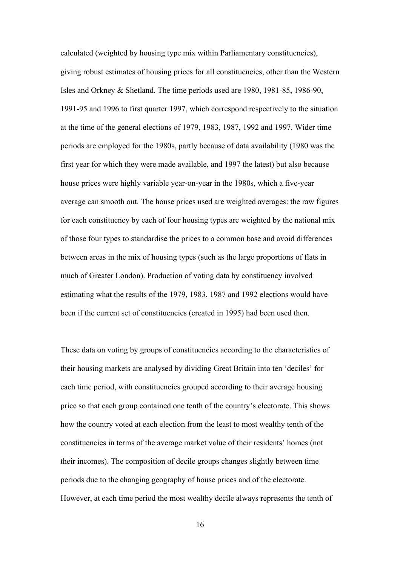calculated (weighted by housing type mix within Parliamentary constituencies), giving robust estimates of housing prices for all constituencies, other than the Western Isles and Orkney & Shetland. The time periods used are 1980, 1981-85, 1986-90, 1991-95 and 1996 to first quarter 1997, which correspond respectively to the situation at the time of the general elections of 1979, 1983, 1987, 1992 and 1997. Wider time periods are employed for the 1980s, partly because of data availability (1980 was the first year for which they were made available, and 1997 the latest) but also because house prices were highly variable year-on-year in the 1980s, which a five-year average can smooth out. The house prices used are weighted averages: the raw figures for each constituency by each of four housing types are weighted by the national mix of those four types to standardise the prices to a common base and avoid differences between areas in the mix of housing types (such as the large proportions of flats in much of Greater London). Production of voting data by constituency involved estimating what the results of the 1979, 1983, 1987 and 1992 elections would have been if the current set of constituencies (created in 1995) had been used then.

These data on voting by groups of constituencies according to the characteristics of their housing markets are analysed by dividing Great Britain into ten 'deciles' for each time period, with constituencies grouped according to their average housing price so that each group contained one tenth of the country's electorate. This shows how the country voted at each election from the least to most wealthy tenth of the constituencies in terms of the average market value of their residents' homes (not their incomes). The composition of decile groups changes slightly between time periods due to the changing geography of house prices and of the electorate. However, at each time period the most wealthy decile always represents the tenth of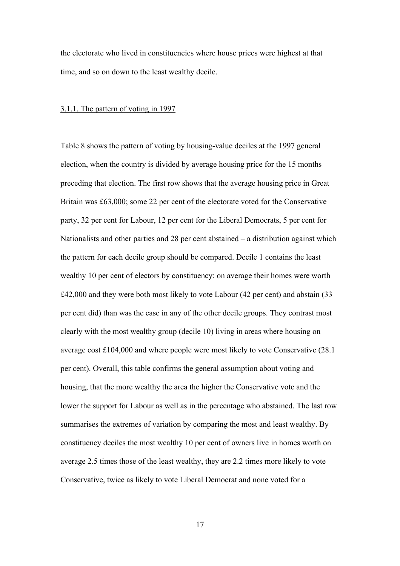the electorate who lived in constituencies where house prices were highest at that time, and so on down to the least wealthy decile.

#### 3.1.1. The pattern of voting in 1997

Table 8 shows the pattern of voting by housing-value deciles at the 1997 general election, when the country is divided by average housing price for the 15 months preceding that election. The first row shows that the average housing price in Great Britain was £63,000; some 22 per cent of the electorate voted for the Conservative party, 32 per cent for Labour, 12 per cent for the Liberal Democrats, 5 per cent for Nationalists and other parties and 28 per cent abstained – a distribution against which the pattern for each decile group should be compared. Decile 1 contains the least wealthy 10 per cent of electors by constituency: on average their homes were worth £42,000 and they were both most likely to vote Labour (42 per cent) and abstain (33 per cent did) than was the case in any of the other decile groups. They contrast most clearly with the most wealthy group (decile 10) living in areas where housing on average cost £104,000 and where people were most likely to vote Conservative (28.1 per cent). Overall, this table confirms the general assumption about voting and housing, that the more wealthy the area the higher the Conservative vote and the lower the support for Labour as well as in the percentage who abstained. The last row summarises the extremes of variation by comparing the most and least wealthy. By constituency deciles the most wealthy 10 per cent of owners live in homes worth on average 2.5 times those of the least wealthy, they are 2.2 times more likely to vote Conservative, twice as likely to vote Liberal Democrat and none voted for a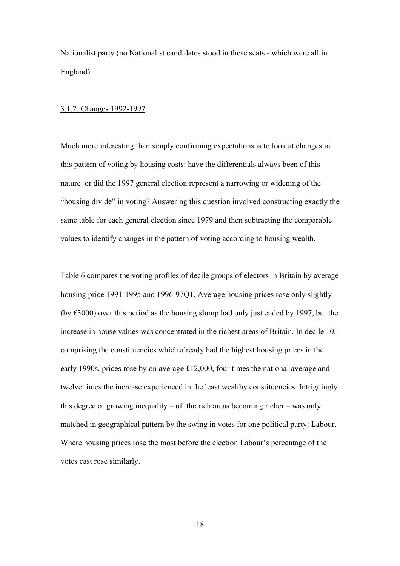Nationalist party (no Nationalist candidates stood in these seats - which were all in England).

#### 3.1.2. Changes 1992-1997

Much more interesting than simply confirming expectations is to look at changes in this pattern of voting by housing costs: have the differentials always been of this nature or did the 1997 general election represent a narrowing or widening of the "housing divide" in voting? Answering this question involved constructing exactly the same table for each general election since 1979 and then subtracting the comparable values to identify changes in the pattern of voting according to housing wealth.

Table 6 compares the voting profiles of decile groups of electors in Britain by average housing price 1991-1995 and 1996-97Q1. Average housing prices rose only slightly (by £3000) over this period as the housing slump had only just ended by 1997, but the increase in house values was concentrated in the richest areas of Britain. In decile 10, comprising the constituencies which already had the highest housing prices in the early 1990s, prices rose by on average £12,000, four times the national average and twelve times the increase experienced in the least wealthy constituencies. Intriguingly this degree of growing inequality – of the rich areas becoming richer – was only matched in geographical pattern by the swing in votes for one political party: Labour. Where housing prices rose the most before the election Labour's percentage of the votes cast rose similarly.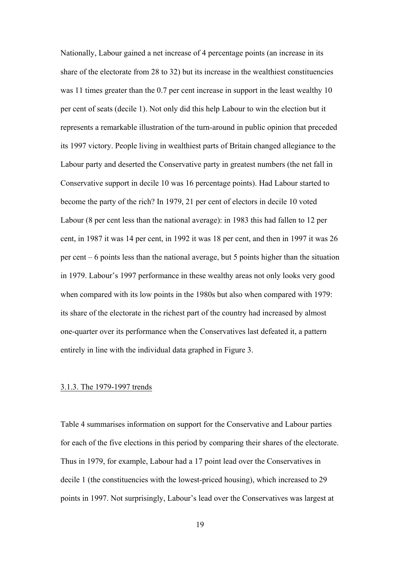Nationally, Labour gained a net increase of 4 percentage points (an increase in its share of the electorate from 28 to 32) but its increase in the wealthiest constituencies was 11 times greater than the 0.7 per cent increase in support in the least wealthy 10 per cent of seats (decile 1). Not only did this help Labour to win the election but it represents a remarkable illustration of the turn-around in public opinion that preceded its 1997 victory. People living in wealthiest parts of Britain changed allegiance to the Labour party and deserted the Conservative party in greatest numbers (the net fall in Conservative support in decile 10 was 16 percentage points). Had Labour started to become the party of the rich? In 1979, 21 per cent of electors in decile 10 voted Labour (8 per cent less than the national average): in 1983 this had fallen to 12 per cent, in 1987 it was 14 per cent, in 1992 it was 18 per cent, and then in 1997 it was 26 per cent – 6 points less than the national average, but 5 points higher than the situation in 1979. Labour's 1997 performance in these wealthy areas not only looks very good when compared with its low points in the 1980s but also when compared with 1979: its share of the electorate in the richest part of the country had increased by almost one-quarter over its performance when the Conservatives last defeated it, a pattern entirely in line with the individual data graphed in Figure 3.

#### 3.1.3. The 1979-1997 trends

Table 4 summarises information on support for the Conservative and Labour parties for each of the five elections in this period by comparing their shares of the electorate. Thus in 1979, for example, Labour had a 17 point lead over the Conservatives in decile 1 (the constituencies with the lowest-priced housing), which increased to 29 points in 1997. Not surprisingly, Labour's lead over the Conservatives was largest at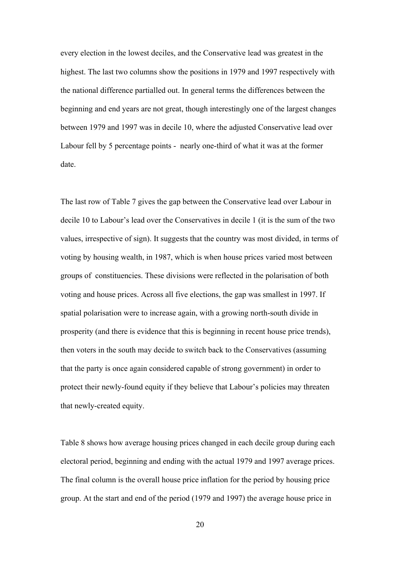every election in the lowest deciles, and the Conservative lead was greatest in the highest. The last two columns show the positions in 1979 and 1997 respectively with the national difference partialled out. In general terms the differences between the beginning and end years are not great, though interestingly one of the largest changes between 1979 and 1997 was in decile 10, where the adjusted Conservative lead over Labour fell by 5 percentage points - nearly one-third of what it was at the former date.

The last row of Table 7 gives the gap between the Conservative lead over Labour in decile 10 to Labour's lead over the Conservatives in decile 1 (it is the sum of the two values, irrespective of sign). It suggests that the country was most divided, in terms of voting by housing wealth, in 1987, which is when house prices varied most between groups of constituencies. These divisions were reflected in the polarisation of both voting and house prices. Across all five elections, the gap was smallest in 1997. If spatial polarisation were to increase again, with a growing north-south divide in prosperity (and there is evidence that this is beginning in recent house price trends), then voters in the south may decide to switch back to the Conservatives (assuming that the party is once again considered capable of strong government) in order to protect their newly-found equity if they believe that Labour's policies may threaten that newly-created equity.

Table 8 shows how average housing prices changed in each decile group during each electoral period, beginning and ending with the actual 1979 and 1997 average prices. The final column is the overall house price inflation for the period by housing price group. At the start and end of the period (1979 and 1997) the average house price in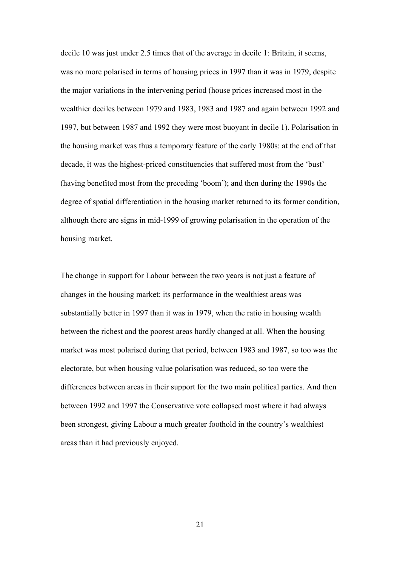decile 10 was just under 2.5 times that of the average in decile 1: Britain, it seems, was no more polarised in terms of housing prices in 1997 than it was in 1979, despite the major variations in the intervening period (house prices increased most in the wealthier deciles between 1979 and 1983, 1983 and 1987 and again between 1992 and 1997, but between 1987 and 1992 they were most buoyant in decile 1). Polarisation in the housing market was thus a temporary feature of the early 1980s: at the end of that decade, it was the highest-priced constituencies that suffered most from the 'bust' (having benefited most from the preceding 'boom'); and then during the 1990s the degree of spatial differentiation in the housing market returned to its former condition, although there are signs in mid-1999 of growing polarisation in the operation of the housing market.

The change in support for Labour between the two years is not just a feature of changes in the housing market: its performance in the wealthiest areas was substantially better in 1997 than it was in 1979, when the ratio in housing wealth between the richest and the poorest areas hardly changed at all. When the housing market was most polarised during that period, between 1983 and 1987, so too was the electorate, but when housing value polarisation was reduced, so too were the differences between areas in their support for the two main political parties. And then between 1992 and 1997 the Conservative vote collapsed most where it had always been strongest, giving Labour a much greater foothold in the country's wealthiest areas than it had previously enjoyed.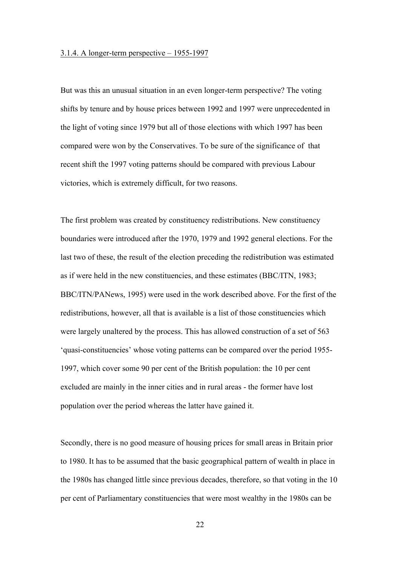#### 3.1.4. A longer-term perspective – 1955-1997

But was this an unusual situation in an even longer-term perspective? The voting shifts by tenure and by house prices between 1992 and 1997 were unprecedented in the light of voting since 1979 but all of those elections with which 1997 has been compared were won by the Conservatives. To be sure of the significance of that recent shift the 1997 voting patterns should be compared with previous Labour victories, which is extremely difficult, for two reasons.

The first problem was created by constituency redistributions. New constituency boundaries were introduced after the 1970, 1979 and 1992 general elections. For the last two of these, the result of the election preceding the redistribution was estimated as if were held in the new constituencies, and these estimates (BBC/ITN, 1983; BBC/ITN/PANews, 1995) were used in the work described above. For the first of the redistributions, however, all that is available is a list of those constituencies which were largely unaltered by the process. This has allowed construction of a set of 563 'quasi-constituencies' whose voting patterns can be compared over the period 1955- 1997, which cover some 90 per cent of the British population: the 10 per cent excluded are mainly in the inner cities and in rural areas - the former have lost population over the period whereas the latter have gained it.

Secondly, there is no good measure of housing prices for small areas in Britain prior to 1980. It has to be assumed that the basic geographical pattern of wealth in place in the 1980s has changed little since previous decades, therefore, so that voting in the 10 per cent of Parliamentary constituencies that were most wealthy in the 1980s can be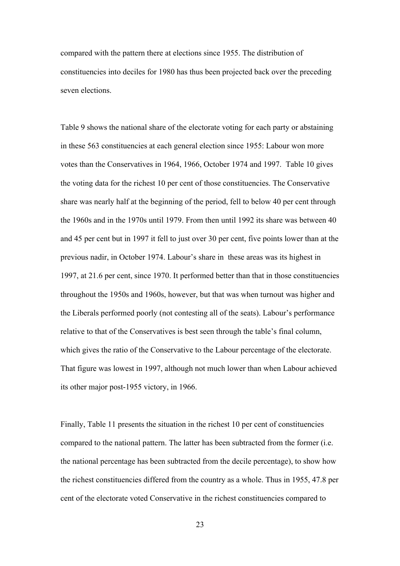compared with the pattern there at elections since 1955. The distribution of constituencies into deciles for 1980 has thus been projected back over the preceding seven elections.

Table 9 shows the national share of the electorate voting for each party or abstaining in these 563 constituencies at each general election since 1955: Labour won more votes than the Conservatives in 1964, 1966, October 1974 and 1997. Table 10 gives the voting data for the richest 10 per cent of those constituencies. The Conservative share was nearly half at the beginning of the period, fell to below 40 per cent through the 1960s and in the 1970s until 1979. From then until 1992 its share was between 40 and 45 per cent but in 1997 it fell to just over 30 per cent, five points lower than at the previous nadir, in October 1974. Labour's share in these areas was its highest in 1997, at 21.6 per cent, since 1970. It performed better than that in those constituencies throughout the 1950s and 1960s, however, but that was when turnout was higher and the Liberals performed poorly (not contesting all of the seats). Labour's performance relative to that of the Conservatives is best seen through the table's final column, which gives the ratio of the Conservative to the Labour percentage of the electorate. That figure was lowest in 1997, although not much lower than when Labour achieved its other major post-1955 victory, in 1966.

Finally, Table 11 presents the situation in the richest 10 per cent of constituencies compared to the national pattern. The latter has been subtracted from the former (i.e. the national percentage has been subtracted from the decile percentage), to show how the richest constituencies differed from the country as a whole. Thus in 1955, 47.8 per cent of the electorate voted Conservative in the richest constituencies compared to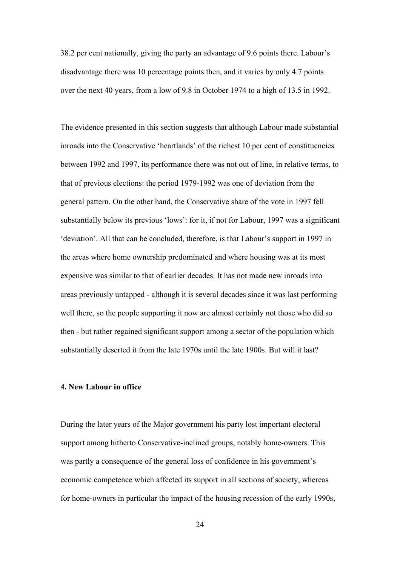38.2 per cent nationally, giving the party an advantage of 9.6 points there. Labour's disadvantage there was 10 percentage points then, and it varies by only 4.7 points over the next 40 years, from a low of 9.8 in October 1974 to a high of 13.5 in 1992.

The evidence presented in this section suggests that although Labour made substantial inroads into the Conservative 'heartlands' of the richest 10 per cent of constituencies between 1992 and 1997, its performance there was not out of line, in relative terms, to that of previous elections: the period 1979-1992 was one of deviation from the general pattern. On the other hand, the Conservative share of the vote in 1997 fell substantially below its previous 'lows': for it, if not for Labour, 1997 was a significant 'deviation'. All that can be concluded, therefore, is that Labour's support in 1997 in the areas where home ownership predominated and where housing was at its most expensive was similar to that of earlier decades. It has not made new inroads into areas previously untapped - although it is several decades since it was last performing well there, so the people supporting it now are almost certainly not those who did so then - but rather regained significant support among a sector of the population which substantially deserted it from the late 1970s until the late 1900s. But will it last?

#### **4. New Labour in office**

During the later years of the Major government his party lost important electoral support among hitherto Conservative-inclined groups, notably home-owners. This was partly a consequence of the general loss of confidence in his government's economic competence which affected its support in all sections of society, whereas for home-owners in particular the impact of the housing recession of the early 1990s,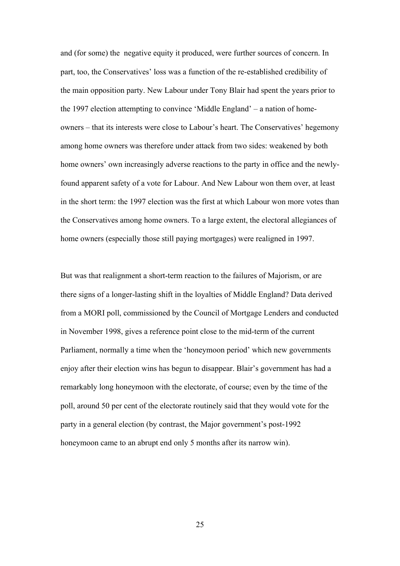and (for some) the negative equity it produced, were further sources of concern. In part, too, the Conservatives' loss was a function of the re-established credibility of the main opposition party. New Labour under Tony Blair had spent the years prior to the 1997 election attempting to convince 'Middle England' – a nation of homeowners – that its interests were close to Labour's heart. The Conservatives' hegemony among home owners was therefore under attack from two sides: weakened by both home owners' own increasingly adverse reactions to the party in office and the newlyfound apparent safety of a vote for Labour. And New Labour won them over, at least in the short term: the 1997 election was the first at which Labour won more votes than the Conservatives among home owners. To a large extent, the electoral allegiances of home owners (especially those still paying mortgages) were realigned in 1997.

But was that realignment a short-term reaction to the failures of Majorism, or are there signs of a longer-lasting shift in the loyalties of Middle England? Data derived from a MORI poll, commissioned by the Council of Mortgage Lenders and conducted in November 1998, gives a reference point close to the mid-term of the current Parliament, normally a time when the 'honeymoon period' which new governments enjoy after their election wins has begun to disappear. Blair's government has had a remarkably long honeymoon with the electorate, of course; even by the time of the poll, around 50 per cent of the electorate routinely said that they would vote for the party in a general election (by contrast, the Major government's post-1992 honeymoon came to an abrupt end only 5 months after its narrow win).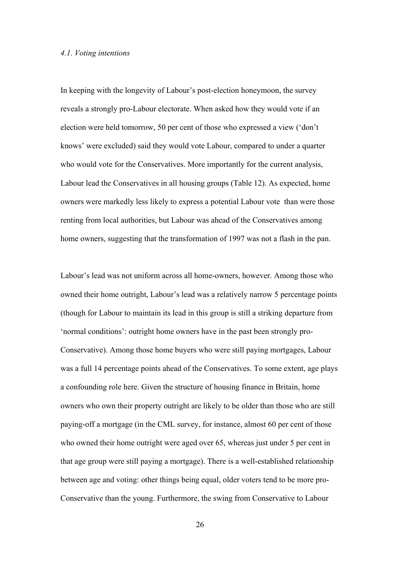### *4.1. Voting intentions*

In keeping with the longevity of Labour's post-election honeymoon, the survey reveals a strongly pro-Labour electorate. When asked how they would vote if an election were held tomorrow, 50 per cent of those who expressed a view ('don't knows' were excluded) said they would vote Labour, compared to under a quarter who would vote for the Conservatives. More importantly for the current analysis, Labour lead the Conservatives in all housing groups (Table 12). As expected, home owners were markedly less likely to express a potential Labour vote than were those renting from local authorities, but Labour was ahead of the Conservatives among home owners, suggesting that the transformation of 1997 was not a flash in the pan.

Labour's lead was not uniform across all home-owners, however. Among those who owned their home outright, Labour's lead was a relatively narrow 5 percentage points (though for Labour to maintain its lead in this group is still a striking departure from 'normal conditions': outright home owners have in the past been strongly pro-Conservative). Among those home buyers who were still paying mortgages, Labour was a full 14 percentage points ahead of the Conservatives. To some extent, age plays a confounding role here. Given the structure of housing finance in Britain, home owners who own their property outright are likely to be older than those who are still paying-off a mortgage (in the CML survey, for instance, almost 60 per cent of those who owned their home outright were aged over 65, whereas just under 5 per cent in that age group were still paying a mortgage). There is a well-established relationship between age and voting: other things being equal, older voters tend to be more pro-Conservative than the young. Furthermore, the swing from Conservative to Labour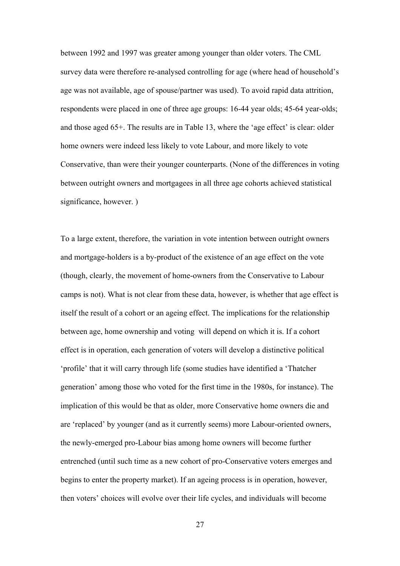between 1992 and 1997 was greater among younger than older voters. The CML survey data were therefore re-analysed controlling for age (where head of household's age was not available, age of spouse/partner was used). To avoid rapid data attrition, respondents were placed in one of three age groups: 16-44 year olds; 45-64 year-olds; and those aged 65+. The results are in Table 13, where the 'age effect' is clear: older home owners were indeed less likely to vote Labour, and more likely to vote Conservative, than were their younger counterparts. (None of the differences in voting between outright owners and mortgagees in all three age cohorts achieved statistical significance, however. )

To a large extent, therefore, the variation in vote intention between outright owners and mortgage-holders is a by-product of the existence of an age effect on the vote (though, clearly, the movement of home-owners from the Conservative to Labour camps is not). What is not clear from these data, however, is whether that age effect is itself the result of a cohort or an ageing effect. The implications for the relationship between age, home ownership and voting will depend on which it is. If a cohort effect is in operation, each generation of voters will develop a distinctive political 'profile' that it will carry through life (some studies have identified a 'Thatcher generation' among those who voted for the first time in the 1980s, for instance). The implication of this would be that as older, more Conservative home owners die and are 'replaced' by younger (and as it currently seems) more Labour-oriented owners, the newly-emerged pro-Labour bias among home owners will become further entrenched (until such time as a new cohort of pro-Conservative voters emerges and begins to enter the property market). If an ageing process is in operation, however, then voters' choices will evolve over their life cycles, and individuals will become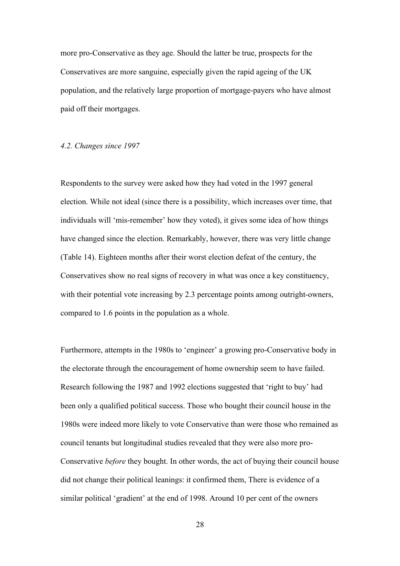more pro-Conservative as they age. Should the latter be true, prospects for the Conservatives are more sanguine, especially given the rapid ageing of the UK population, and the relatively large proportion of mortgage-payers who have almost paid off their mortgages.

# *4.2. Changes since 1997*

Respondents to the survey were asked how they had voted in the 1997 general election. While not ideal (since there is a possibility, which increases over time, that individuals will 'mis-remember' how they voted), it gives some idea of how things have changed since the election. Remarkably, however, there was very little change (Table 14). Eighteen months after their worst election defeat of the century, the Conservatives show no real signs of recovery in what was once a key constituency, with their potential vote increasing by 2.3 percentage points among outright-owners, compared to 1.6 points in the population as a whole.

Furthermore, attempts in the 1980s to 'engineer' a growing pro-Conservative body in the electorate through the encouragement of home ownership seem to have failed. Research following the 1987 and 1992 elections suggested that 'right to buy' had been only a qualified political success. Those who bought their council house in the 1980s were indeed more likely to vote Conservative than were those who remained as council tenants but longitudinal studies revealed that they were also more pro-Conservative *before* they bought. In other words, the act of buying their council house did not change their political leanings: it confirmed them, There is evidence of a similar political 'gradient' at the end of 1998. Around 10 per cent of the owners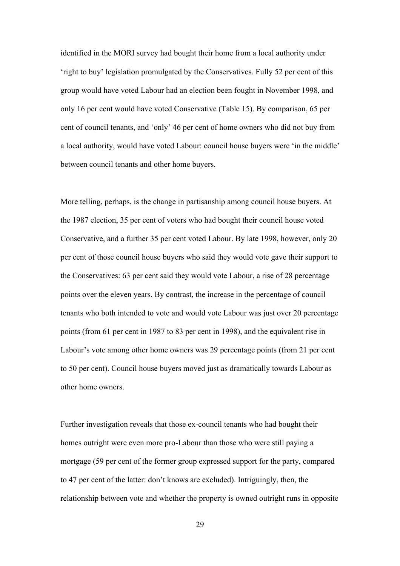identified in the MORI survey had bought their home from a local authority under 'right to buy' legislation promulgated by the Conservatives. Fully 52 per cent of this group would have voted Labour had an election been fought in November 1998, and only 16 per cent would have voted Conservative (Table 15). By comparison, 65 per cent of council tenants, and 'only' 46 per cent of home owners who did not buy from a local authority, would have voted Labour: council house buyers were 'in the middle' between council tenants and other home buyers.

More telling, perhaps, is the change in partisanship among council house buyers. At the 1987 election, 35 per cent of voters who had bought their council house voted Conservative, and a further 35 per cent voted Labour. By late 1998, however, only 20 per cent of those council house buyers who said they would vote gave their support to the Conservatives: 63 per cent said they would vote Labour, a rise of 28 percentage points over the eleven years. By contrast, the increase in the percentage of council tenants who both intended to vote and would vote Labour was just over 20 percentage points (from 61 per cent in 1987 to 83 per cent in 1998), and the equivalent rise in Labour's vote among other home owners was 29 percentage points (from 21 per cent to 50 per cent). Council house buyers moved just as dramatically towards Labour as other home owners.

Further investigation reveals that those ex-council tenants who had bought their homes outright were even more pro-Labour than those who were still paying a mortgage (59 per cent of the former group expressed support for the party, compared to 47 per cent of the latter: don't knows are excluded). Intriguingly, then, the relationship between vote and whether the property is owned outright runs in opposite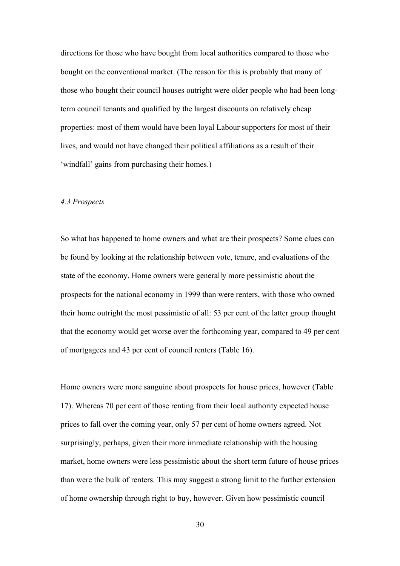directions for those who have bought from local authorities compared to those who bought on the conventional market. (The reason for this is probably that many of those who bought their council houses outright were older people who had been longterm council tenants and qualified by the largest discounts on relatively cheap properties: most of them would have been loyal Labour supporters for most of their lives, and would not have changed their political affiliations as a result of their 'windfall' gains from purchasing their homes.)

#### *4.3 Prospects*

So what has happened to home owners and what are their prospects? Some clues can be found by looking at the relationship between vote, tenure, and evaluations of the state of the economy. Home owners were generally more pessimistic about the prospects for the national economy in 1999 than were renters, with those who owned their home outright the most pessimistic of all: 53 per cent of the latter group thought that the economy would get worse over the forthcoming year, compared to 49 per cent of mortgagees and 43 per cent of council renters (Table 16).

Home owners were more sanguine about prospects for house prices, however (Table 17). Whereas 70 per cent of those renting from their local authority expected house prices to fall over the coming year, only 57 per cent of home owners agreed. Not surprisingly, perhaps, given their more immediate relationship with the housing market, home owners were less pessimistic about the short term future of house prices than were the bulk of renters. This may suggest a strong limit to the further extension of home ownership through right to buy, however. Given how pessimistic council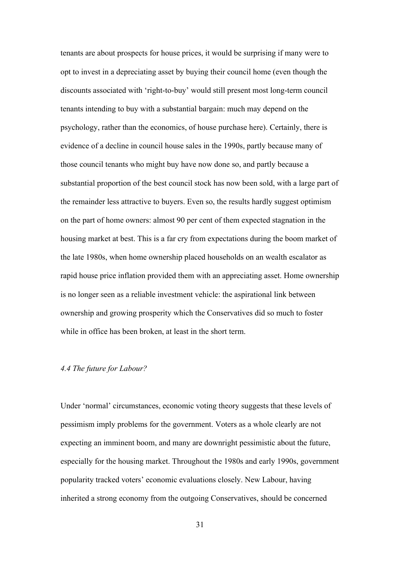tenants are about prospects for house prices, it would be surprising if many were to opt to invest in a depreciating asset by buying their council home (even though the discounts associated with 'right-to-buy' would still present most long-term council tenants intending to buy with a substantial bargain: much may depend on the psychology, rather than the economics, of house purchase here). Certainly, there is evidence of a decline in council house sales in the 1990s, partly because many of those council tenants who might buy have now done so, and partly because a substantial proportion of the best council stock has now been sold, with a large part of the remainder less attractive to buyers. Even so, the results hardly suggest optimism on the part of home owners: almost 90 per cent of them expected stagnation in the housing market at best. This is a far cry from expectations during the boom market of the late 1980s, when home ownership placed households on an wealth escalator as rapid house price inflation provided them with an appreciating asset. Home ownership is no longer seen as a reliable investment vehicle: the aspirational link between ownership and growing prosperity which the Conservatives did so much to foster while in office has been broken, at least in the short term.

#### *4.4 The future for Labour?*

Under 'normal' circumstances, economic voting theory suggests that these levels of pessimism imply problems for the government. Voters as a whole clearly are not expecting an imminent boom, and many are downright pessimistic about the future, especially for the housing market. Throughout the 1980s and early 1990s, government popularity tracked voters' economic evaluations closely. New Labour, having inherited a strong economy from the outgoing Conservatives, should be concerned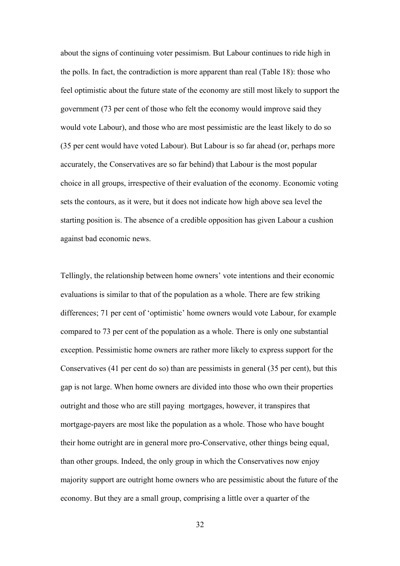about the signs of continuing voter pessimism. But Labour continues to ride high in the polls. In fact, the contradiction is more apparent than real (Table 18): those who feel optimistic about the future state of the economy are still most likely to support the government (73 per cent of those who felt the economy would improve said they would vote Labour), and those who are most pessimistic are the least likely to do so (35 per cent would have voted Labour). But Labour is so far ahead (or, perhaps more accurately, the Conservatives are so far behind) that Labour is the most popular choice in all groups, irrespective of their evaluation of the economy. Economic voting sets the contours, as it were, but it does not indicate how high above sea level the starting position is. The absence of a credible opposition has given Labour a cushion against bad economic news.

Tellingly, the relationship between home owners' vote intentions and their economic evaluations is similar to that of the population as a whole. There are few striking differences; 71 per cent of 'optimistic' home owners would vote Labour, for example compared to 73 per cent of the population as a whole. There is only one substantial exception. Pessimistic home owners are rather more likely to express support for the Conservatives (41 per cent do so) than are pessimists in general (35 per cent), but this gap is not large. When home owners are divided into those who own their properties outright and those who are still paying mortgages, however, it transpires that mortgage-payers are most like the population as a whole. Those who have bought their home outright are in general more pro-Conservative, other things being equal, than other groups. Indeed, the only group in which the Conservatives now enjoy majority support are outright home owners who are pessimistic about the future of the economy. But they are a small group, comprising a little over a quarter of the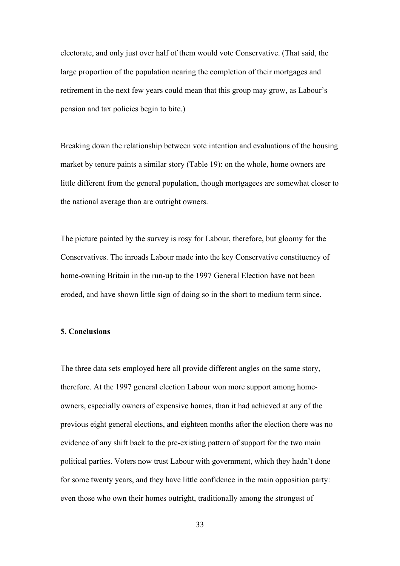electorate, and only just over half of them would vote Conservative. (That said, the large proportion of the population nearing the completion of their mortgages and retirement in the next few years could mean that this group may grow, as Labour's pension and tax policies begin to bite.)

Breaking down the relationship between vote intention and evaluations of the housing market by tenure paints a similar story (Table 19): on the whole, home owners are little different from the general population, though mortgagees are somewhat closer to the national average than are outright owners.

The picture painted by the survey is rosy for Labour, therefore, but gloomy for the Conservatives. The inroads Labour made into the key Conservative constituency of home-owning Britain in the run-up to the 1997 General Election have not been eroded, and have shown little sign of doing so in the short to medium term since.

#### **5. Conclusions**

The three data sets employed here all provide different angles on the same story, therefore. At the 1997 general election Labour won more support among homeowners, especially owners of expensive homes, than it had achieved at any of the previous eight general elections, and eighteen months after the election there was no evidence of any shift back to the pre-existing pattern of support for the two main political parties. Voters now trust Labour with government, which they hadn't done for some twenty years, and they have little confidence in the main opposition party: even those who own their homes outright, traditionally among the strongest of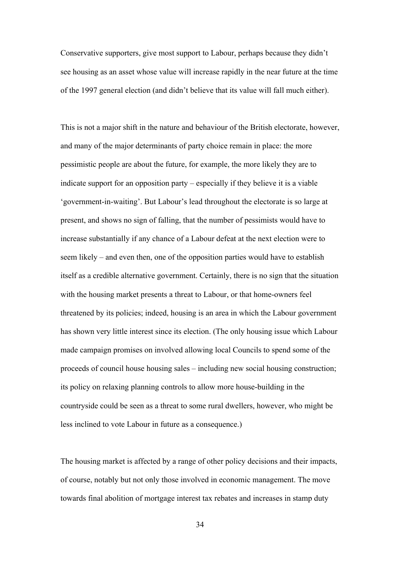Conservative supporters, give most support to Labour, perhaps because they didn't see housing as an asset whose value will increase rapidly in the near future at the time of the 1997 general election (and didn't believe that its value will fall much either).

This is not a major shift in the nature and behaviour of the British electorate, however, and many of the major determinants of party choice remain in place: the more pessimistic people are about the future, for example, the more likely they are to indicate support for an opposition party – especially if they believe it is a viable 'government-in-waiting'. But Labour's lead throughout the electorate is so large at present, and shows no sign of falling, that the number of pessimists would have to increase substantially if any chance of a Labour defeat at the next election were to seem likely – and even then, one of the opposition parties would have to establish itself as a credible alternative government. Certainly, there is no sign that the situation with the housing market presents a threat to Labour, or that home-owners feel threatened by its policies; indeed, housing is an area in which the Labour government has shown very little interest since its election. (The only housing issue which Labour made campaign promises on involved allowing local Councils to spend some of the proceeds of council house housing sales – including new social housing construction; its policy on relaxing planning controls to allow more house-building in the countryside could be seen as a threat to some rural dwellers, however, who might be less inclined to vote Labour in future as a consequence.)

The housing market is affected by a range of other policy decisions and their impacts, of course, notably but not only those involved in economic management. The move towards final abolition of mortgage interest tax rebates and increases in stamp duty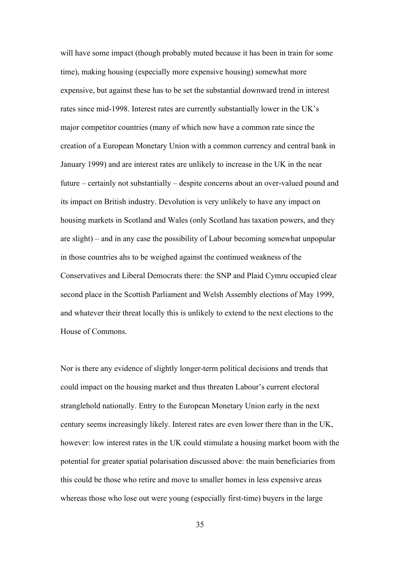will have some impact (though probably muted because it has been in train for some time), making housing (especially more expensive housing) somewhat more expensive, but against these has to be set the substantial downward trend in interest rates since mid-1998. Interest rates are currently substantially lower in the UK's major competitor countries (many of which now have a common rate since the creation of a European Monetary Union with a common currency and central bank in January 1999) and are interest rates are unlikely to increase in the UK in the near future – certainly not substantially – despite concerns about an over-valued pound and its impact on British industry. Devolution is very unlikely to have any impact on housing markets in Scotland and Wales (only Scotland has taxation powers, and they are slight) – and in any case the possibility of Labour becoming somewhat unpopular in those countries ahs to be weighed against the continued weakness of the Conservatives and Liberal Democrats there: the SNP and Plaid Cymru occupied clear second place in the Scottish Parliament and Welsh Assembly elections of May 1999, and whatever their threat locally this is unlikely to extend to the next elections to the House of Commons.

Nor is there any evidence of slightly longer-term political decisions and trends that could impact on the housing market and thus threaten Labour's current electoral stranglehold nationally. Entry to the European Monetary Union early in the next century seems increasingly likely. Interest rates are even lower there than in the UK, however: low interest rates in the UK could stimulate a housing market boom with the potential for greater spatial polarisation discussed above: the main beneficiaries from this could be those who retire and move to smaller homes in less expensive areas whereas those who lose out were young (especially first-time) buyers in the large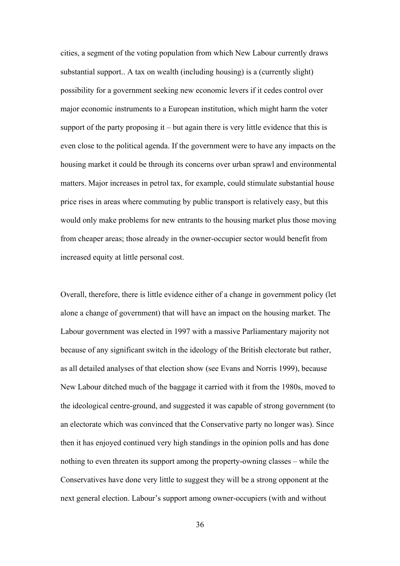cities, a segment of the voting population from which New Labour currently draws substantial support.. A tax on wealth (including housing) is a (currently slight) possibility for a government seeking new economic levers if it cedes control over major economic instruments to a European institution, which might harm the voter support of the party proposing it – but again there is very little evidence that this is even close to the political agenda. If the government were to have any impacts on the housing market it could be through its concerns over urban sprawl and environmental matters. Major increases in petrol tax, for example, could stimulate substantial house price rises in areas where commuting by public transport is relatively easy, but this would only make problems for new entrants to the housing market plus those moving from cheaper areas; those already in the owner-occupier sector would benefit from increased equity at little personal cost.

Overall, therefore, there is little evidence either of a change in government policy (let alone a change of government) that will have an impact on the housing market. The Labour government was elected in 1997 with a massive Parliamentary majority not because of any significant switch in the ideology of the British electorate but rather, as all detailed analyses of that election show (see Evans and Norris 1999), because New Labour ditched much of the baggage it carried with it from the 1980s, moved to the ideological centre-ground, and suggested it was capable of strong government (to an electorate which was convinced that the Conservative party no longer was). Since then it has enjoyed continued very high standings in the opinion polls and has done nothing to even threaten its support among the property-owning classes – while the Conservatives have done very little to suggest they will be a strong opponent at the next general election. Labour's support among owner-occupiers (with and without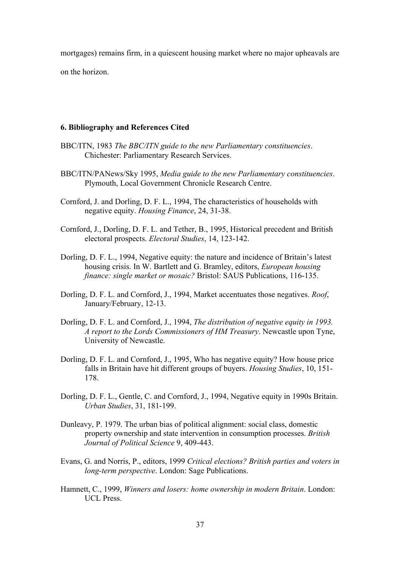mortgages) remains firm, in a quiescent housing market where no major upheavals are

on the horizon.

#### **6. Bibliography and References Cited**

- BBC/ITN, 1983 *The BBC/ITN guide to the new Parliamentary constituencies*. Chichester: Parliamentary Research Services.
- BBC/ITN/PANews/Sky 1995, *Media guide to the new Parliamentary constituencies*. Plymouth, Local Government Chronicle Research Centre.
- Cornford, J. and Dorling, D. F. L., 1994, The characteristics of households with negative equity. *Housing Finance*, 24, 31-38.
- Cornford, J., Dorling, D. F. L. and Tether, B., 1995, Historical precedent and British electoral prospects. *Electoral Studies*, 14, 123-142.
- Dorling, D. F. L., 1994, Negative equity: the nature and incidence of Britain's latest housing crisis. In W. Bartlett and G. Bramley, editors, *European housing finance: single market or mosaic?* Bristol: SAUS Publications, 116-135.
- Dorling, D. F. L. and Cornford, J., 1994, Market accentuates those negatives. *Roof*, January/February, 12-13.
- Dorling, D. F. L. and Cornford, J., 1994, *The distribution of negative equity in 1993. A report to the Lords Commissioners of HM Treasury*. Newcastle upon Tyne, University of Newcastle.
- Dorling, D. F. L. and Cornford, J., 1995, Who has negative equity? How house price falls in Britain have hit different groups of buyers. *Housing Studies*, 10, 151- 178.
- Dorling, D. F. L., Gentle, C. and Cornford, J., 1994, Negative equity in 1990s Britain. *Urban Studies*, 31, 181-199.
- Dunleavy, P. 1979. The urban bias of political alignment: social class, domestic property ownership and state intervention in consumption processes. *British Journal of Political Science* 9, 409-443.
- Evans, G. and Norris, P., editors, 1999 *Critical elections? British parties and voters in long-term perspective*. London: Sage Publications.
- Hamnett, C., 1999, *Winners and losers: home ownership in modern Britain*. London: UCL Press.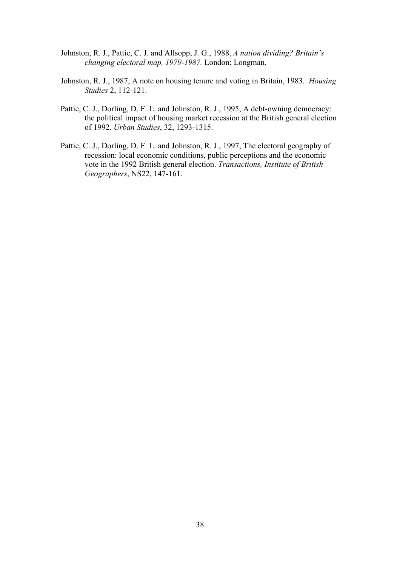- Johnston, R. J., Pattie, C. J. and Allsopp, J. G., 1988, *A nation dividing? Britain's changing electoral map, 1979-1987.* London: Longman.
- Johnston, R. J., 1987, A note on housing tenure and voting in Britain, 1983. *Housing Studies* 2, 112-121.
- Pattie, C. J., Dorling, D. F. L. and Johnston, R. J., 1995, A debt-owning democracy: the political impact of housing market recession at the British general election of 1992. *Urban Studies*, 32, 1293-1315.
- Pattie, C. J., Dorling, D. F. L. and Johnston, R. J., 1997, The electoral geography of recession: local economic conditions, public perceptions and the economic vote in the 1992 British general election. *Transactions, Institute of British Geographers*, NS22, 147-161.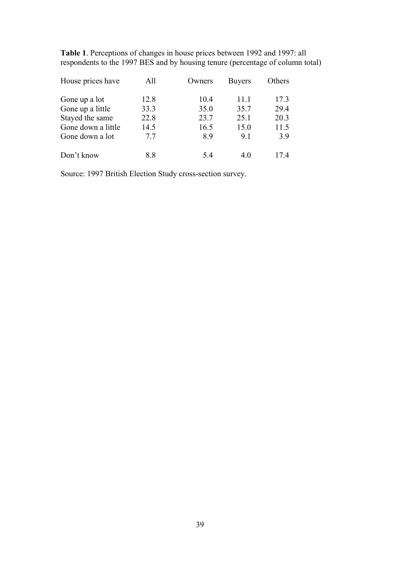**Table 1**. Perceptions of changes in house prices between 1992 and 1997: all respondents to the 1997 BES and by housing tenure (percentage of column total)

| House prices have  | All  | Owners | <b>Buyers</b> | Others |  |
|--------------------|------|--------|---------------|--------|--|
| Gone up a lot      | 12.8 | 10.4   | 11.1          | 17.3   |  |
| Gone up a little   | 33.3 | 35.0   | 35.7          | 29.4   |  |
| Stayed the same    | 22.8 | 23.7   | 25.1          | 20.3   |  |
| Gone down a little | 14.5 | 16.5   | 15.0          | 11.5   |  |
| Gone down a lot    | 7.7  | 8.9    | 9.1           | 3.9    |  |
| Don't know         | 8.8  | 54     | 4.0           | 174    |  |

Source: 1997 British Election Study cross-section survey.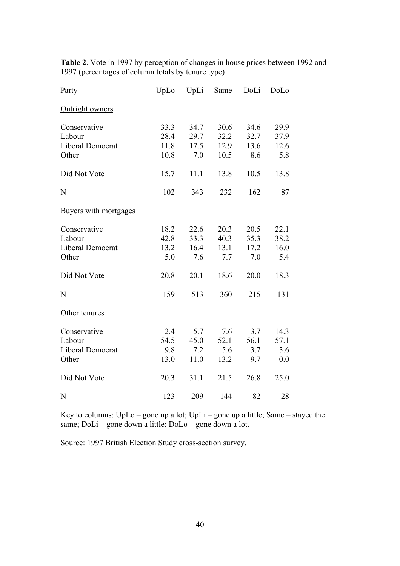| Party                 | UpLo | UpLi | Same | DoLi | DoLo |
|-----------------------|------|------|------|------|------|
| Outright owners       |      |      |      |      |      |
| Conservative          | 33.3 | 34.7 | 30.6 | 34.6 | 29.9 |
| Labour                | 28.4 | 29.7 | 32.2 | 32.7 | 37.9 |
| Liberal Democrat      | 11.8 | 17.5 | 12.9 | 13.6 | 12.6 |
| Other                 | 10.8 | 7.0  | 10.5 | 8.6  | 5.8  |
| Did Not Vote          | 15.7 | 11.1 | 13.8 | 10.5 | 13.8 |
| N                     | 102  | 343  | 232  | 162  | 87   |
| Buyers with mortgages |      |      |      |      |      |
| Conservative          | 18.2 | 22.6 | 20.3 | 20.5 | 22.1 |
| Labour                | 42.8 | 33.3 | 40.3 | 35.3 | 38.2 |
| Liberal Democrat      | 13.2 | 16.4 | 13.1 | 17.2 | 16.0 |
| Other                 | 5.0  | 7.6  | 7.7  | 7.0  | 5.4  |
| Did Not Vote          | 20.8 | 20.1 | 18.6 | 20.0 | 18.3 |
| N                     | 159  | 513  | 360  | 215  | 131  |
| Other tenures         |      |      |      |      |      |
| Conservative          | 2.4  | 5.7  | 7.6  | 3.7  | 14.3 |
| Labour                | 54.5 | 45.0 | 52.1 | 56.1 | 57.1 |
| Liberal Democrat      | 9.8  | 7.2  | 5.6  | 3.7  | 3.6  |
| Other                 | 13.0 | 11.0 | 13.2 | 9.7  | 0.0  |
| Did Not Vote          | 20.3 | 31.1 | 21.5 | 26.8 | 25.0 |
| N                     | 123  | 209  | 144  | 82   | 28   |

**Table 2**. Vote in 1997 by perception of changes in house prices between 1992 and 1997 (percentages of column totals by tenure type)

Key to columns: UpLo – gone up a lot; UpLi – gone up a little; Same – stayed the same; DoLi – gone down a little; DoLo – gone down a lot.

Source: 1997 British Election Study cross-section survey.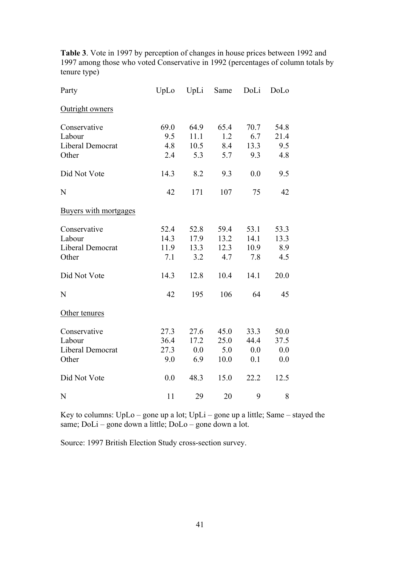**Table 3**. Vote in 1997 by perception of changes in house prices between 1992 and 1997 among those who voted Conservative in 1992 (percentages of column totals by tenure type)

| Party                 | UpLo | UpLi | Same | DoLi | DoLo |
|-----------------------|------|------|------|------|------|
| Outright owners       |      |      |      |      |      |
| Conservative          | 69.0 | 64.9 | 65.4 | 70.7 | 54.8 |
| Labour                | 9.5  | 11.1 | 1.2  | 6.7  | 21.4 |
| Liberal Democrat      | 4.8  | 10.5 | 8.4  | 13.3 | 9.5  |
| Other                 | 2.4  | 5.3  | 5.7  | 9.3  | 4.8  |
| Did Not Vote          | 14.3 | 8.2  | 9.3  | 0.0  | 9.5  |
| N                     | 42   | 171  | 107  | 75   | 42   |
| Buyers with mortgages |      |      |      |      |      |
| Conservative          | 52.4 | 52.8 | 59.4 | 53.1 | 53.3 |
| Labour                | 14.3 | 17.9 | 13.2 | 14.1 | 13.3 |
| Liberal Democrat      | 11.9 | 13.3 | 12.3 | 10.9 | 8.9  |
| Other                 | 7.1  | 3.2  | 4.7  | 7.8  | 4.5  |
| Did Not Vote          | 14.3 | 12.8 | 10.4 | 14.1 | 20.0 |
| N                     | 42   | 195  | 106  | 64   | 45   |
| Other tenures         |      |      |      |      |      |
| Conservative          | 27.3 | 27.6 | 45.0 | 33.3 | 50.0 |
| Labour                | 36.4 | 17.2 | 25.0 | 44.4 | 37.5 |
| Liberal Democrat      | 27.3 | 0.0  | 5.0  | 0.0  | 0.0  |
| Other                 | 9.0  | 6.9  | 10.0 | 0.1  | 0.0  |
| Did Not Vote          | 0.0  | 48.3 | 15.0 | 22.2 | 12.5 |
| N                     | 11   | 29   | 20   | 9    | 8    |

Key to columns: UpLo – gone up a lot; UpLi – gone up a little; Same – stayed the same; DoLi – gone down a little; DoLo – gone down a lot.

Source: 1997 British Election Study cross-section survey.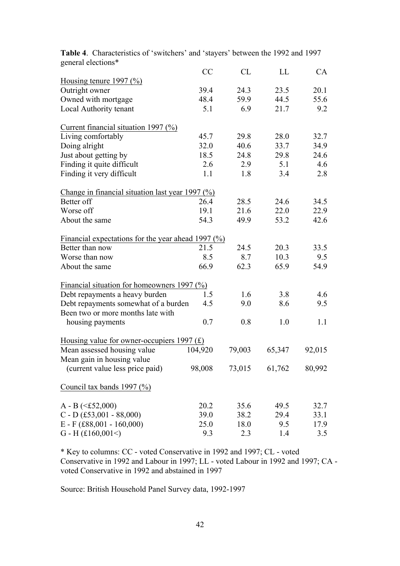|                                                         | <b>CC</b> | CL     | LL            | CA     |
|---------------------------------------------------------|-----------|--------|---------------|--------|
| Housing tenure 1997 $(\%)$                              |           |        |               |        |
| Outright owner                                          | 39.4      | 24.3   | 23.5          | 20.1   |
| Owned with mortgage                                     | 48.4      | 59.9   | 44.5          | 55.6   |
| Local Authority tenant                                  | 5.1       | 6.9    | 21.7          | 9.2    |
| Current financial situation 1997 $(\%)$                 |           |        |               |        |
| Living comfortably                                      | 45.7      | 29.8   | 28.0          | 32.7   |
| Doing alright                                           | 32.0      | 40.6   | 33.7          | 34.9   |
| Just about getting by                                   | 18.5      | 24.8   | 29.8          | 24.6   |
| Finding it quite difficult                              | 2.6       | 2.9    | 5.1           | 4.6    |
| Finding it very difficult                               | 1.1       | 1.8    | 3.4           | 2.8    |
| Change in financial situation last year 1997 $(\%)$     |           |        |               |        |
| Better off                                              | 26.4      | 28.5   | 24.6          | 34.5   |
| Worse off                                               | 19.1      | 21.6   | 22.0          | 22.9   |
| About the same                                          | 54.3      | 49.9   | 53.2          | 42.6   |
| Financial expectations for the year ahead 1997 $(\%)$   |           |        |               |        |
| Better than now                                         | 21.5      | 24.5   | 20.3          | 33.5   |
| Worse than now                                          | 8.5       | 8.7    | 10.3          | 9.5    |
| About the same                                          | 66.9      | 62.3   | 65.9          | 54.9   |
| Financial situation for homeowners 1997 $(\frac{0}{0})$ |           |        |               |        |
| Debt repayments a heavy burden                          | 1.5       | 1.6    | 3.8           | 4.6    |
| Debt repayments somewhat of a burden                    | 4.5       | 9.0    | 8.6           | 9.5    |
| Been two or more months late with                       |           |        |               |        |
| housing payments                                        | 0.7       | 0.8    | 1.0           | 1.1    |
| Housing value for owner-occupiers $1997 \text{ (f)}$    |           |        |               |        |
| Mean assessed housing value                             | 104,920   | 79,003 | 65,347        | 92,015 |
| Mean gain in housing value                              |           |        |               |        |
| (current value less price paid)                         | 98,008    |        | 73,015 61,762 | 80,992 |
| Council tax bands 1997 $(\% )$                          |           |        |               |        |
| $A - B \leq f 52,000$                                   | 20.2      | 35.6   | 49.5          | 32.7   |
| $C$ - D (£53,001 - 88,000)                              | 39.0      | 38.2   | 29.4          | 33.1   |
| $E - F$ (£88,001 - 160,000)                             | 25.0      | 18.0   | 9.5           | 17.9   |
| G - H $(f160,001<)$                                     | 9.3       | 2.3    | 1.4           | 3.5    |

**Table 4**. Characteristics of 'switchers' and 'stayers' between the 1992 and 1997 general elections\*

\* Key to columns: CC - voted Conservative in 1992 and 1997; CL - voted Conservative in 1992 and Labour in 1997; LL - voted Labour in 1992 and 1997; CA voted Conservative in 1992 and abstained in 1997

Source: British Household Panel Survey data, 1992-1997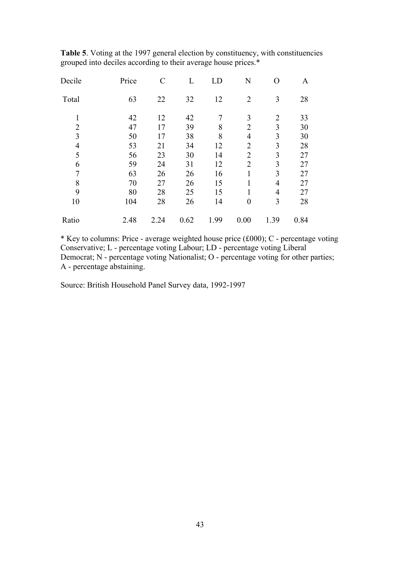**Table 5**. Voting at the 1997 general election by constituency, with constituencies grouped into deciles according to their average house prices.\*

| Decile         | Price | $\mathcal{C}$ | L    | LD   | N                | O              | A    |
|----------------|-------|---------------|------|------|------------------|----------------|------|
| Total          | 63    | 22            | 32   | 12   | $\overline{2}$   | 3              | 28   |
| 1              | 42    | 12            | 42   | 7    | 3                | $\overline{2}$ | 33   |
| $\overline{2}$ | 47    | 17            | 39   | 8    | $\overline{2}$   | 3              | 30   |
| 3              | 50    | 17            | 38   | 8    | $\overline{4}$   | 3              | 30   |
| $\overline{4}$ | 53    | 21            | 34   | 12   | $\overline{2}$   | 3              | 28   |
| 5              | 56    | 23            | 30   | 14   | $\overline{2}$   | 3              | 27   |
| 6              | 59    | 24            | 31   | 12   | $\overline{2}$   | 3              | 27   |
| 7              | 63    | 26            | 26   | 16   | $\mathbf{1}$     | 3              | 27   |
| 8              | 70    | 27            | 26   | 15   | 1                | $\overline{4}$ | 27   |
| 9              | 80    | 28            | 25   | 15   | $\mathbf{1}$     | $\overline{4}$ | 27   |
| 10             | 104   | 28            | 26   | 14   | $\boldsymbol{0}$ | 3              | 28   |
| Ratio          | 2.48  | 2.24          | 0.62 | 1.99 | 0.00             | 1.39           | 0.84 |

\* Key to columns: Price - average weighted house price (£000); C - percentage voting Conservative; L - percentage voting Labour; LD - percentage voting Liberal Democrat; N - percentage voting Nationalist; O - percentage voting for other parties; A - percentage abstaining.

Source: British Household Panel Survey data, 1992-1997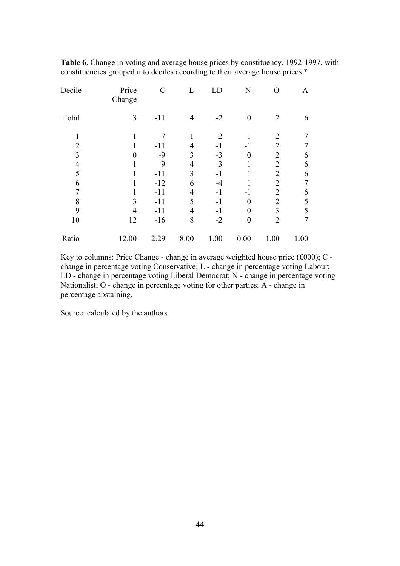| Decile         | Price<br>Change | $\mathcal{C}$ | L              | LD   | N                | O              | A    |
|----------------|-----------------|---------------|----------------|------|------------------|----------------|------|
| Total          | 3               | $-11$         | $\overline{4}$ | $-2$ | $\boldsymbol{0}$ | $\overline{2}$ | 6    |
| 1              |                 | $-7$          |                | $-2$ | $-1$             | $\overline{2}$ |      |
| $\overline{2}$ |                 | $-11$         | $\overline{4}$ | $-1$ | $-1$             | $\overline{2}$ |      |
| 3              | $\theta$        | $-9$          | 3              | $-3$ | $\overline{0}$   | $\overline{2}$ | 6    |
| $\overline{4}$ |                 | $-9$          | $\overline{4}$ | $-3$ | -1               | $\overline{2}$ | 6    |
| 5              |                 | $-11$         | 3              | $-1$ |                  | $\overline{2}$ | 6    |
| 6              |                 | $-12$         | 6              | -4   |                  | $\overline{2}$ |      |
| $\overline{7}$ |                 | $-11$         | $\overline{4}$ | -1   | -1               | $\overline{2}$ | 6    |
| 8              | 3               | $-11$         | 5              | $-1$ | $\boldsymbol{0}$ | $\overline{2}$ | 5    |
| 9              | $\overline{4}$  | $-11$         | 4              | -1   | $\overline{0}$   | 3              | 5    |
| 10             | 12              | $-16$         | 8              | $-2$ | $\boldsymbol{0}$ | $\overline{2}$ | 7    |
| Ratio          | 12.00           | 2.29          | 8.00           | 1.00 | 0.00             | 1.00           | 1.00 |
|                |                 |               |                |      |                  |                |      |

**Table 6**. Change in voting and average house prices by constituency, 1992-1997, with constituencies grouped into deciles according to their average house prices.\*

Key to columns: Price Change - change in average weighted house price (£000); C change in percentage voting Conservative; L - change in percentage voting Labour; LD - change in percentage voting Liberal Democrat; N - change in percentage voting Nationalist; O - change in percentage voting for other parties; A - change in percentage abstaining.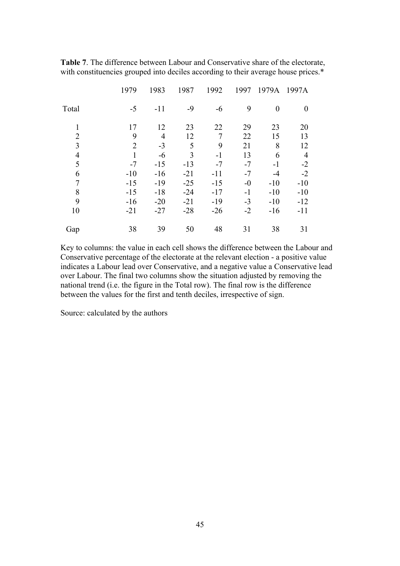|                          | 1979           | 1983           | 1987  | 1992           | 1997 | 1979A          | 1997A          |
|--------------------------|----------------|----------------|-------|----------------|------|----------------|----------------|
| Total                    | $-5$           | $-11$          | $-9$  | $-6$           | 9    | $\overline{0}$ | $\theta$       |
| $\mathbf{1}$             | 17             | 12             | 23    | 22             | 29   | 23             | 20             |
| $\overline{2}$           | 9              | $\overline{4}$ | 12    | $\overline{7}$ | 22   | 15             | 13             |
| 3                        | $\overline{2}$ | $-3$           | 5     | 9              | 21   | 8              | 12             |
| $\overline{\mathcal{L}}$ | 1              | $-6$           | 3     | $-1$           | 13   | 6              | $\overline{4}$ |
| 5                        | $-7$           | $-15$          | $-13$ | $-7$           | $-7$ | $-1$           | $-2$           |
| 6                        | $-10$          | $-16$          | $-21$ | $-11$          | $-7$ | -4             | $-2$           |
| 7                        | $-15$          | $-19$          | $-25$ | $-15$          | $-0$ | $-10$          | $-10$          |
| 8                        | $-15$          | $-18$          | $-24$ | $-17$          | $-1$ | $-10$          | $-10$          |
| 9                        | $-16$          | $-20$          | $-21$ | $-19$          | $-3$ | $-10$          | $-12$          |
| 10                       | $-21$          | $-27$          | $-28$ | $-26$          | $-2$ | $-16$          | $-11$          |
| Gap                      | 38             | 39             | 50    | 48             | 31   | 38             | 31             |

**Table 7**. The difference between Labour and Conservative share of the electorate, with constituencies grouped into deciles according to their average house prices.\*

Key to columns: the value in each cell shows the difference between the Labour and Conservative percentage of the electorate at the relevant election - a positive value indicates a Labour lead over Conservative, and a negative value a Conservative lead over Labour. The final two columns show the situation adjusted by removing the national trend (i.e. the figure in the Total row). The final row is the difference between the values for the first and tenth deciles, irrespective of sign.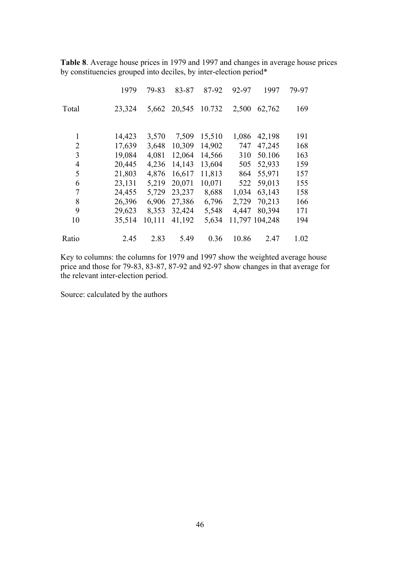**Table 8**. Average house prices in 1979 and 1997 and changes in average house prices by constituencies grouped into deciles, by inter-election period\*

|                | 1979   | 79-83  | 83-87  | 87-92  | 92-97 | 1997           | 79-97 |
|----------------|--------|--------|--------|--------|-------|----------------|-------|
| Total          | 23,324 | 5,662  | 20,545 | 10.732 | 2,500 | 62,762         | 169   |
| 1              | 14,423 | 3,570  | 7,509  | 15,510 | 1,086 | 42,198         | 191   |
| $\overline{2}$ | 17,639 | 3,648  | 10,309 | 14,902 | 747   | 47,245         | 168   |
| 3              | 19,084 | 4,081  | 12,064 | 14,566 | 310   | 50.106         | 163   |
| 4              | 20,445 | 4,236  | 14,143 | 13,604 | 505   | 52,933         | 159   |
| 5              | 21,803 | 4,876  | 16,617 | 11,813 | 864   | 55,971         | 157   |
| 6              | 23,131 | 5,219  | 20,071 | 10,071 | 522   | 59,013         | 155   |
| 7              | 24,455 | 5,729  | 23,237 | 8,688  | 1,034 | 63,143         | 158   |
| 8              | 26,396 | 6,906  | 27,386 | 6,796  | 2,729 | 70,213         | 166   |
| 9              | 29,623 | 8,353  | 32,424 | 5,548  | 4,447 | 80,394         | 171   |
| 10             | 35,514 | 10,111 | 41,192 | 5,634  |       | 11,797 104,248 | 194   |
| Ratio          | 2.45   | 2.83   | 5.49   | 0.36   | 10.86 | 2.47           | 1.02  |

Key to columns: the columns for 1979 and 1997 show the weighted average house price and those for 79-83, 83-87, 87-92 and 92-97 show changes in that average for the relevant inter-election period.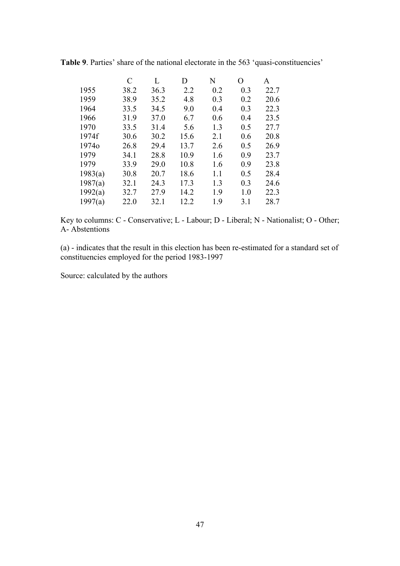|         | C    | L    | D    | N   | O   | A    |
|---------|------|------|------|-----|-----|------|
| 1955    | 38.2 | 36.3 | 2.2  | 0.2 | 0.3 | 22.7 |
| 1959    | 38.9 | 35.2 | 4.8  | 0.3 | 0.2 | 20.6 |
| 1964    | 33.5 | 34.5 | 9.0  | 0.4 | 0.3 | 22.3 |
| 1966    | 31.9 | 37.0 | 6.7  | 0.6 | 0.4 | 23.5 |
| 1970    | 33.5 | 31.4 | 5.6  | 1.3 | 0.5 | 27.7 |
| 1974f   | 30.6 | 30.2 | 15.6 | 2.1 | 0.6 | 20.8 |
| 19740   | 26.8 | 29.4 | 13.7 | 2.6 | 0.5 | 26.9 |
| 1979    | 34.1 | 28.8 | 10.9 | 1.6 | 0.9 | 23.7 |
| 1979    | 33.9 | 29.0 | 10.8 | 1.6 | 0.9 | 23.8 |
| 1983(a) | 30.8 | 20.7 | 18.6 | 1.1 | 0.5 | 28.4 |
| 1987(a) | 32.1 | 24.3 | 17.3 | 1.3 | 0.3 | 24.6 |
| 1992(a) | 32.7 | 27.9 | 14.2 | 1.9 | 1.0 | 22.3 |
| 1997(a) | 22.0 | 32.1 | 12.2 | 1.9 | 3.1 | 28.7 |

**Table 9**. Parties' share of the national electorate in the 563 'quasi-constituencies'

Key to columns: C - Conservative; L - Labour; D - Liberal; N - Nationalist; O - Other; A- Abstentions

(a) - indicates that the result in this election has been re-estimated for a standard set of constituencies employed for the period 1983-1997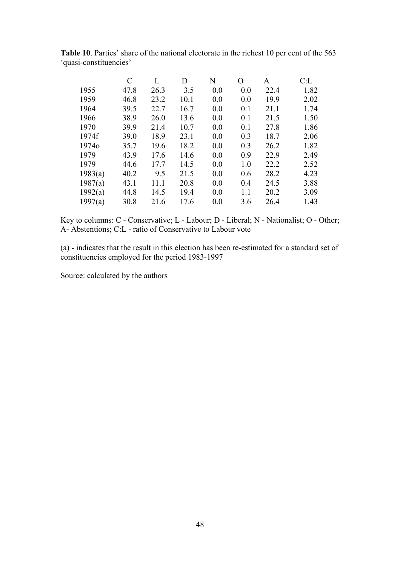|         | C    | L    | D    | N   | O   | A    | C: L |
|---------|------|------|------|-----|-----|------|------|
| 1955    | 47.8 | 26.3 | 3.5  | 0.0 | 0.0 | 22.4 | 1.82 |
| 1959    | 46.8 | 23.2 | 10.1 | 0.0 | 0.0 | 19.9 | 2.02 |
| 1964    | 39.5 | 22.7 | 16.7 | 0.0 | 0.1 | 21.1 | 1.74 |
| 1966    | 38.9 | 26.0 | 13.6 | 0.0 | 0.1 | 21.5 | 1.50 |
| 1970    | 39.9 | 21.4 | 10.7 | 0.0 | 0.1 | 27.8 | 1.86 |
| 1974f   | 39.0 | 18.9 | 23.1 | 0.0 | 0.3 | 18.7 | 2.06 |
| 19740   | 35.7 | 19.6 | 18.2 | 0.0 | 0.3 | 26.2 | 1.82 |
| 1979    | 43.9 | 17.6 | 14.6 | 0.0 | 0.9 | 22.9 | 2.49 |
| 1979    | 44.6 | 17.7 | 14.5 | 0.0 | 1.0 | 22.2 | 2.52 |
| 1983(a) | 40.2 | 9.5  | 21.5 | 0.0 | 0.6 | 28.2 | 4.23 |
| 1987(a) | 43.1 | 11.1 | 20.8 | 0.0 | 0.4 | 24.5 | 3.88 |
| 1992(a) | 44.8 | 14.5 | 19.4 | 0.0 | 1.1 | 20.2 | 3.09 |
| 1997(a) | 30.8 | 21.6 | 17.6 | 0.0 | 3.6 | 26.4 | 1.43 |

**Table 10**. Parties' share of the national electorate in the richest 10 per cent of the 563 'quasi-constituencies'

Key to columns: C - Conservative; L - Labour; D - Liberal; N - Nationalist; O - Other; A- Abstentions; C:L - ratio of Conservative to Labour vote

(a) - indicates that the result in this election has been re-estimated for a standard set of constituencies employed for the period 1983-1997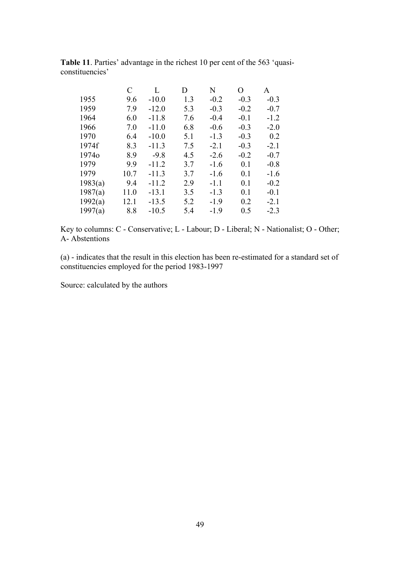|         | C    | L       | D   | N      | $\overline{O}$ | A      |
|---------|------|---------|-----|--------|----------------|--------|
| 1955    | 9.6  | $-10.0$ | 1.3 | $-0.2$ | $-0.3$         | $-0.3$ |
| 1959    | 7.9  | $-12.0$ | 5.3 | $-0.3$ | $-0.2$         | $-0.7$ |
| 1964    | 6.0  | $-11.8$ | 7.6 | $-0.4$ | $-0.1$         | $-1.2$ |
| 1966    | 7.0  | $-11.0$ | 6.8 | $-0.6$ | $-0.3$         | $-2.0$ |
| 1970    | 6.4  | $-10.0$ | 5.1 | $-1.3$ | $-0.3$         | 0.2    |
| 1974f   | 8.3  | $-11.3$ | 7.5 | $-2.1$ | $-0.3$         | $-2.1$ |
| 19740   | 8.9  | $-9.8$  | 4.5 | $-2.6$ | $-0.2$         | $-0.7$ |
| 1979    | 9.9  | $-11.2$ | 3.7 | $-1.6$ | 0.1            | $-0.8$ |
| 1979    | 10.7 | $-11.3$ | 3.7 | $-1.6$ | 0.1            | $-1.6$ |
| 1983(a) | 9.4  | $-11.2$ | 2.9 | $-1.1$ | 0.1            | $-0.2$ |
| 1987(a) | 11.0 | $-13.1$ | 3.5 | $-1.3$ | 0.1            | $-0.1$ |
| 1992(a) | 12.1 | $-13.5$ | 5.2 | $-1.9$ | 0.2            | $-2.1$ |
| 1997(a) | 8.8  | $-10.5$ | 5.4 | $-1.9$ | 0.5            | $-2.3$ |

**Table 11**. Parties' advantage in the richest 10 per cent of the 563 'quasiconstituencies'

Key to columns: C - Conservative; L - Labour; D - Liberal; N - Nationalist; O - Other; A- Abstentions

(a) - indicates that the result in this election has been re-estimated for a standard set of constituencies employed for the period 1983-1997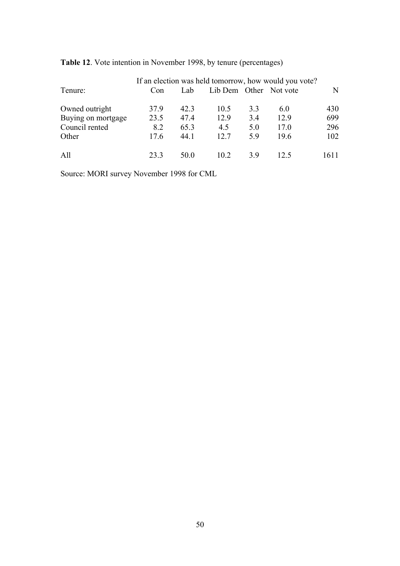| Tenure:            | Con  | Lab  | Lib Dem Other Not vote |     | If an election was held tomorrow, how would you vote? | N    |
|--------------------|------|------|------------------------|-----|-------------------------------------------------------|------|
| Owned outright     | 37.9 | 423  | 10.5                   | 3.3 | 6.0                                                   | 430  |
| Buying on mortgage | 23.5 | 47.4 | 12.9                   | 3.4 | 12.9                                                  | 699  |
| Council rented     | 8.2  | 65.3 | 4.5                    | 5.0 | 17.0                                                  | 296  |
| Other              | 17.6 | 44.1 | 12.7                   | 5.9 | 19.6                                                  | 102  |
| All                | 23.3 | 50 O | 102                    | 39  | 12.5                                                  | 1611 |

# **Table 12**. Vote intention in November 1998, by tenure (percentages)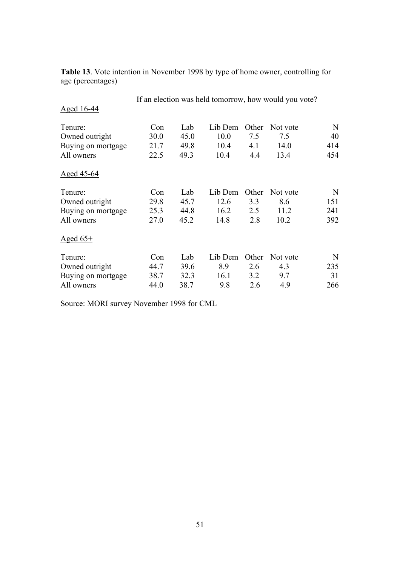| Aged 16-44         |      |      | If an election was held tomorrow, how would you vote? |       |          |     |
|--------------------|------|------|-------------------------------------------------------|-------|----------|-----|
| Tenure:            | Con  | Lab  | Lib Dem                                               | Other | Not vote | N   |
| Owned outright     | 30.0 | 45.0 | 10.0                                                  | 7.5   | 7.5      | 40  |
| Buying on mortgage | 21.7 | 49.8 | 10.4                                                  | 4.1   | 14.0     | 414 |
| All owners         | 22.5 | 49.3 | 10.4                                                  | 4.4   | 13.4     | 454 |
| Aged 45-64         |      |      |                                                       |       |          |     |
| Tenure:            | Con  | Lab  | Lib Dem                                               | Other | Not vote | N   |
| Owned outright     | 29.8 | 45.7 | 12.6                                                  | 3.3   | 8.6      | 151 |
| Buying on mortgage | 25.3 | 44.8 | 16.2                                                  | 2.5   | 11.2     | 241 |
| All owners         | 27.0 | 45.2 | 14.8                                                  | 2.8   | 10.2     | 392 |
| Aged $65+$         |      |      |                                                       |       |          |     |
| Tenure:            | Con  | Lab  | Lib Dem                                               | Other | Not vote | N   |
| Owned outright     | 44.7 | 39.6 | 8.9                                                   | 2.6   | 4.3      | 235 |
| Buying on mortgage | 38.7 | 32.3 | 16.1                                                  | 3.2   | 9.7      | 31  |
| All owners         | 44.0 | 38.7 | 9.8                                                   | 2.6   | 4.9      | 266 |

**Table 13**. Vote intention in November 1998 by type of home owner, controlling for age (percentages)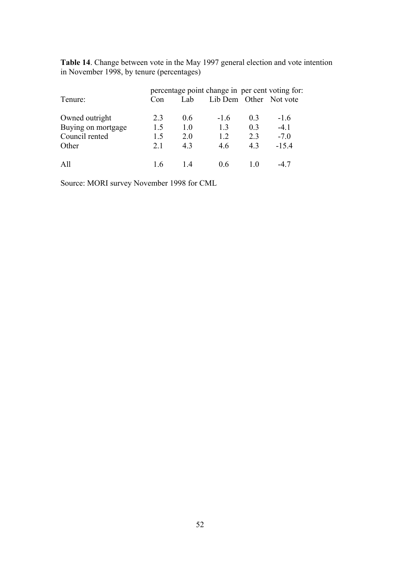**Table 14**. Change between vote in the May 1997 general election and vote intention in November 1998, by tenure (percentages)

| Tenure:            | Con | Lab. | percentage point change in per cent voting for: |                | Lib Dem Other Not vote |
|--------------------|-----|------|-------------------------------------------------|----------------|------------------------|
| Owned outright     | 2.3 | 0.6  | $-16$                                           | 0 <sub>3</sub> | $-1.6$                 |
| Buying on mortgage | 1.5 | 1.0  | 13                                              | 0.3            | $-4.1$                 |
| Council rented     | 1.5 | 2.0  | 12                                              | 2.3            | $-7.0$                 |
| Other              | 21  | 43   | 46                                              | 43             | $-15.4$                |
| All                | 16  | 14   | 06                                              | $\mid$ ()      |                        |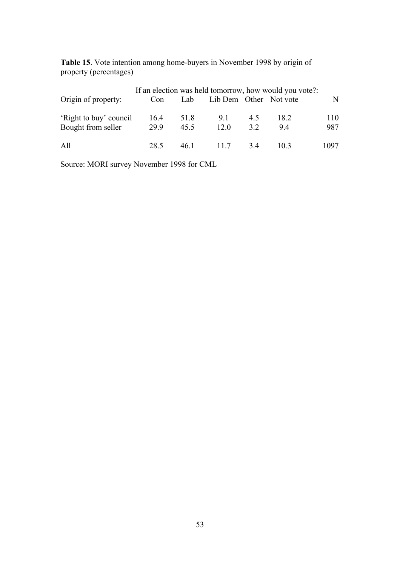**Table 15**. Vote intention among home-buyers in November 1998 by origin of property (percentages)

| Origin of property:                          | If an election was held tomorrow, how would you vote?:<br>Lib Dem Other Not vote<br>Lab<br>Con |              |             |    |            |          |
|----------------------------------------------|------------------------------------------------------------------------------------------------|--------------|-------------|----|------------|----------|
|                                              |                                                                                                |              |             | 45 |            | N<br>110 |
| 'Right to buy' council<br>Bought from seller | 16.4<br>29.9                                                                                   | 51.8<br>45.5 | 9.1<br>12.0 | 32 | 18.2<br>94 | 987      |
| All                                          | 28.5                                                                                           | 46.1         | 11.7        | 34 | 103        | 1097     |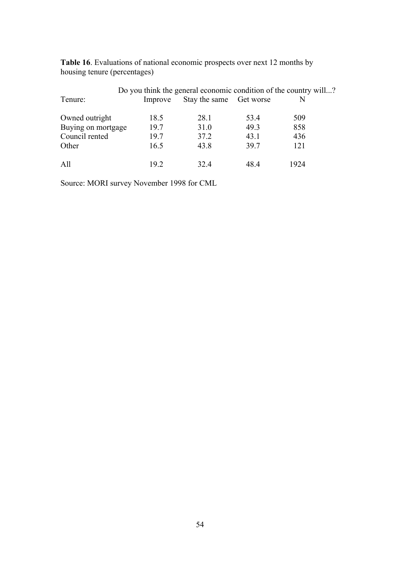|                    |         | Do you think the general economic condition of the country will? |      |      |  |
|--------------------|---------|------------------------------------------------------------------|------|------|--|
| Tenure:            | Improve | Stay the same Get worse                                          |      | N    |  |
| Owned outright     | 18.5    | 28.1                                                             | 53.4 | 509  |  |
| Buying on mortgage | 19.7    | 31.0                                                             | 49.3 | 858  |  |
| Council rented     | 19.7    | 37.2                                                             | 43.1 | 436  |  |
| Other              | 16.5    | 43.8                                                             | 39.7 | 121  |  |
| All                | 192     | 32.4                                                             | 484  | 1924 |  |

**Table 16**. Evaluations of national economic prospects over next 12 months by housing tenure (percentages)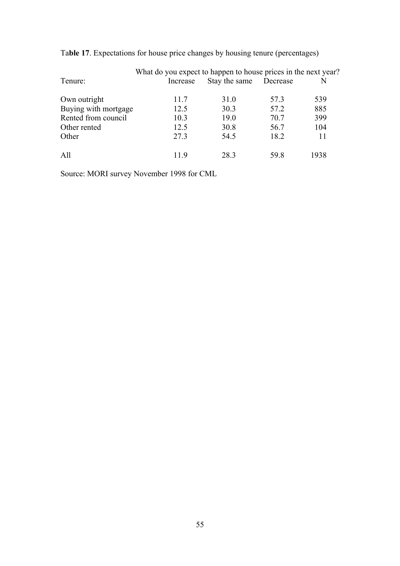|                      | What do you expect to happen to house prices in the next year? |               |          |      |
|----------------------|----------------------------------------------------------------|---------------|----------|------|
| Tenure:              | Increase                                                       | Stay the same | Decrease | N    |
| Own outright         | 11.7                                                           | 31.0          | 57.3     | 539  |
| Buying with mortgage | 12.5                                                           | 30.3          | 57.2     | 885  |
| Rented from council  | 10.3                                                           | 19.0          | 70.7     | 399  |
| Other rented         | 12.5                                                           | 30.8          | 56.7     | 104  |
| Other                | 27.3                                                           | 54.5          | 18.2     | 11   |
| All                  | 119                                                            | 28.3          | 59 8     | 1938 |

Ta**ble 17**. Expectations for house price changes by housing tenure (percentages)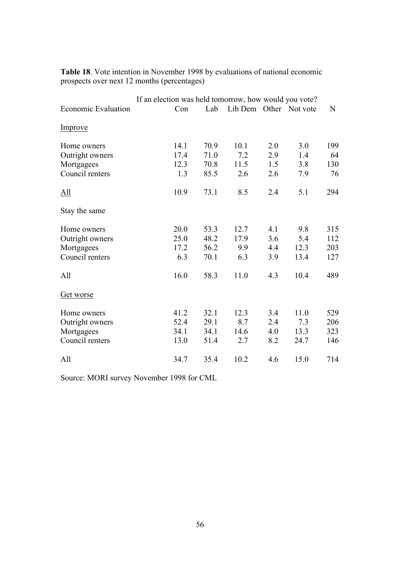|                     | If an election was held tomorrow, how would you vote? |      |      |     |                        |     |  |
|---------------------|-------------------------------------------------------|------|------|-----|------------------------|-----|--|
| Economic Evaluation | Con                                                   | Lab  |      |     | Lib Dem Other Not vote | N   |  |
| Improve             |                                                       |      |      |     |                        |     |  |
| Home owners         | 14.1                                                  | 70.9 | 10.1 | 2.0 | 3.0                    | 199 |  |
| Outright owners     | 17.4                                                  | 71.0 | 7.2  | 2.9 | 1.4                    | 64  |  |
| Mortgagees          | 12.3                                                  | 70.8 | 11.5 | 1.5 | 3.8                    | 130 |  |
| Council renters     | 1.3                                                   | 85.5 | 2.6  | 2.6 | 7.9                    | 76  |  |
| All                 | 10.9                                                  | 73.1 | 8.5  | 2.4 | 5.1                    | 294 |  |
| Stay the same       |                                                       |      |      |     |                        |     |  |
| Home owners         | 20.0                                                  | 53.3 | 12.7 | 4.1 | 9.8                    | 315 |  |
| Outright owners     | 25.0                                                  | 48.2 | 17.9 | 3.6 | 5.4                    | 112 |  |
| Mortgagees          | 17.2                                                  | 56.2 | 9.9  | 4.4 | 12.3                   | 203 |  |
| Council renters     | 6.3                                                   | 70.1 | 6.3  | 3.9 | 13.4                   | 127 |  |
| All                 | 16.0                                                  | 58.3 | 11.0 | 4.3 | 10.4                   | 489 |  |
| Get worse           |                                                       |      |      |     |                        |     |  |
| Home owners         | 41.2                                                  | 32.1 | 12.3 | 3.4 | 11.0                   | 529 |  |
| Outright owners     | 52.4                                                  | 29.1 | 8.7  | 2.4 | 7.3                    | 206 |  |
| Mortgagees          | 34.1                                                  | 34.1 | 14.6 | 4.0 | 13.3                   | 323 |  |
| Council renters     | 13.0                                                  | 51.4 | 2.7  | 8.2 | 24.7                   | 146 |  |
| All                 | 34.7                                                  | 35.4 | 10.2 | 4.6 | 15.0                   | 714 |  |

**Table 18**. Vote intention in November 1998 by evaluations of national economic prospects over next 12 months (percentages)